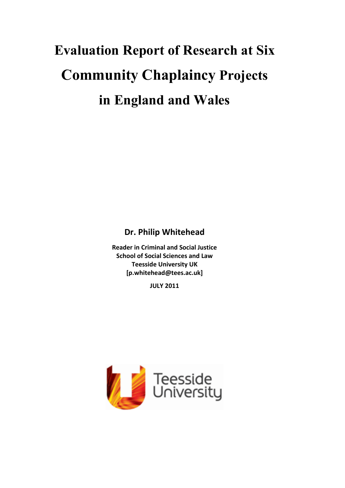# **Evaluation Report of Research at Six Community Chaplaincy Projects in England and Wales**

**Dr. Philip Whitehead** 

**Reader in Criminal and Social Justice School of Social Sciences and Law Teesside University UK [p.whitehead@tees.ac.uk]** 

**JULY 2011**

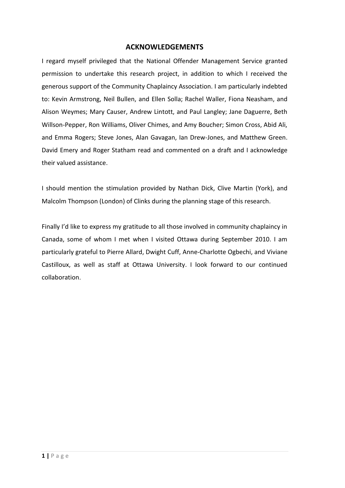## **ACKNOWLEDGEMENTS**

I regard myself privileged that the National Offender Management Service granted permission to undertake this research project, in addition to which I received the generous support of the Community Chaplaincy Association. I am particularly indebted to: Kevin Armstrong, Neil Bullen, and Ellen Solla; Rachel Waller, Fiona Neasham, and Alison Weymes; Mary Causer, Andrew Lintott, and Paul Langley; Jane Daguerre, Beth Willson-Pepper, Ron Williams, Oliver Chimes, and Amy Boucher; Simon Cross, Abid Ali, and Emma Rogers; Steve Jones, Alan Gavagan, Ian Drew-Jones, and Matthew Green. David Emery and Roger Statham read and commented on a draft and I acknowledge their valued assistance.

I should mention the stimulation provided by Nathan Dick, Clive Martin (York), and Malcolm Thompson (London) of Clinks during the planning stage of this research.

Finally I'd like to express my gratitude to all those involved in community chaplaincy in Canada, some of whom I met when I visited Ottawa during September 2010. I am particularly grateful to Pierre Allard, Dwight Cuff, Anne-Charlotte Ogbechi, and Viviane Castilloux, as well as staff at Ottawa University. I look forward to our continued collaboration.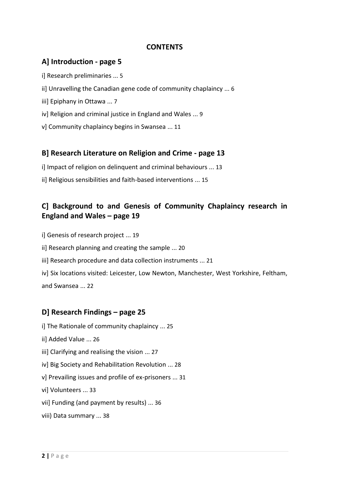# **CONTENTS**

# **A] Introduction - page 5**

- i] Research preliminaries ... 5
- ii] Unravelling the Canadian gene code of community chaplaincy ... 6
- iii] Epiphany in Ottawa ... 7
- iv] Religion and criminal justice in England and Wales ... 9
- v] Community chaplaincy begins in Swansea ... 11

# **B] Research Literature on Religion and Crime - page 13**

- i] Impact of religion on delinquent and criminal behaviours ... 13
- ii] Religious sensibilities and faith-based interventions ... 15

# **C] Background to and Genesis of Community Chaplaincy research in England and Wales – page 19**

- i] Genesis of research project ... 19
- ii] Research planning and creating the sample ... 20
- iii] Research procedure and data collection instruments ... 21
- iv] Six locations visited: Leicester, Low Newton, Manchester, West Yorkshire, Feltham, and Swansea ... 22

# **D] Research Findings – page 25**

- i] The Rationale of community chaplaincy ... 25
- ii] Added Value ... 26
- iii] Clarifying and realising the vision ... 27
- iv] Big Society and Rehabilitation Revolution ... 28
- v] Prevailing issues and profile of ex-prisoners ... 31
- vi] Volunteers ... 33
- vii] Funding (and payment by results) ... 36
- viii) Data summary ... 38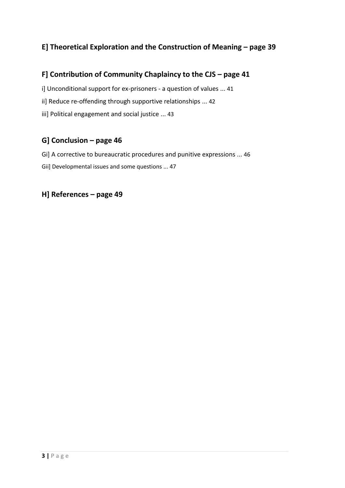# **E] Theoretical Exploration and the Construction of Meaning – page 39**

# **F] Contribution of Community Chaplaincy to the CJS – page 41**

i] Unconditional support for ex-prisoners - a question of values ... 41

ii] Reduce re-offending through supportive relationships ... 42

iii] Political engagement and social justice ... 43

# **G] Conclusion – page 46**

Gi] A corrective to bureaucratic procedures and punitive expressions ... 46

Gii] Developmental issues and some questions ... 47

# **H] References – page 49**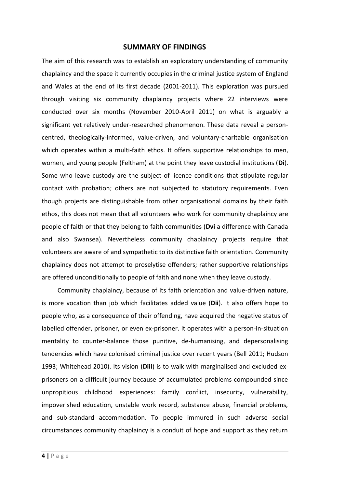#### **SUMMARY OF FINDINGS**

The aim of this research was to establish an exploratory understanding of community chaplaincy and the space it currently occupies in the criminal justice system of England and Wales at the end of its first decade (2001-2011). This exploration was pursued through visiting six community chaplaincy projects where 22 interviews were conducted over six months (November 2010-April 2011) on what is arguably a significant yet relatively under-researched phenomenon. These data reveal a personcentred, theologically-informed, value-driven, and voluntary-charitable organisation which operates within a multi-faith ethos. It offers supportive relationships to men, women, and young people (Feltham) at the point they leave custodial institutions (**Di**). Some who leave custody are the subject of licence conditions that stipulate regular contact with probation; others are not subjected to statutory requirements. Even though projects are distinguishable from other organisational domains by their faith ethos, this does not mean that all volunteers who work for community chaplaincy are people of faith or that they belong to faith communities (**Dvi** a difference with Canada and also Swansea). Nevertheless community chaplaincy projects require that volunteers are aware of and sympathetic to its distinctive faith orientation. Community chaplaincy does not attempt to proselytise offenders; rather supportive relationships are offered unconditionally to people of faith and none when they leave custody.

 Community chaplaincy, because of its faith orientation and value-driven nature, is more vocation than job which facilitates added value (**Dii**). It also offers hope to people who, as a consequence of their offending, have acquired the negative status of labelled offender, prisoner, or even ex-prisoner. It operates with a person-in-situation mentality to counter-balance those punitive, de-humanising, and depersonalising tendencies which have colonised criminal justice over recent years (Bell 2011; Hudson 1993; Whitehead 2010). Its vision (**Diii**) is to walk with marginalised and excluded exprisoners on a difficult journey because of accumulated problems compounded since unpropitious childhood experiences: family conflict, insecurity, vulnerability, impoverished education, unstable work record, substance abuse, financial problems, and sub-standard accommodation. To people immured in such adverse social circumstances community chaplaincy is a conduit of hope and support as they return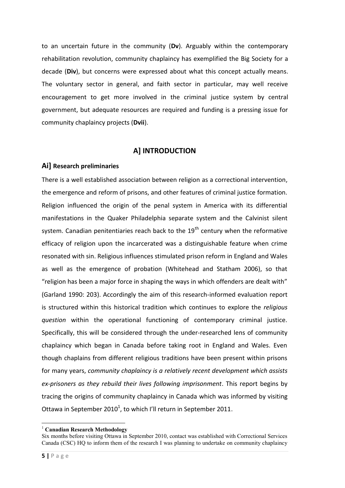to an uncertain future in the community (**Dv**). Arguably within the contemporary rehabilitation revolution, community chaplaincy has exemplified the Big Society for a decade (**Div**), but concerns were expressed about what this concept actually means. The voluntary sector in general, and faith sector in particular, may well receive encouragement to get more involved in the criminal justice system by central government, but adequate resources are required and funding is a pressing issue for community chaplaincy projects (**Dvii**).

# **A] INTRODUCTION**

## **Ai] Research preliminaries**

There is a well established association between religion as a correctional intervention, the emergence and reform of prisons, and other features of criminal justice formation. Religion influenced the origin of the penal system in America with its differential manifestations in the Quaker Philadelphia separate system and the Calvinist silent system. Canadian penitentiaries reach back to the  $19<sup>th</sup>$  century when the reformative efficacy of religion upon the incarcerated was a distinguishable feature when crime resonated with sin. Religious influences stimulated prison reform in England and Wales as well as the emergence of probation (Whitehead and Statham 2006), so that "religion has been a major force in shaping the ways in which offenders are dealt with" (Garland 1990: 203). Accordingly the aim of this research-informed evaluation report is structured within this historical tradition which continues to explore the *religious question* within the operational functioning of contemporary criminal justice. Specifically, this will be considered through the under-researched lens of community chaplaincy which began in Canada before taking root in England and Wales. Even though chaplains from different religious traditions have been present within prisons for many years, *community chaplaincy is a relatively recent development which assists ex-prisoners as they rebuild their lives following imprisonment*. This report begins by tracing the origins of community chaplaincy in Canada which was informed by visiting Ottawa in September 2010<sup>1</sup>, to which I'll return in September 2011.

<sup>1</sup> <sup>1</sup> **Canadian Research Methodology** 

Six months before visiting Ottawa in September 2010, contact was established with Correctional Services Canada (CSC) HQ to inform them of the research I was planning to undertake on community chaplaincy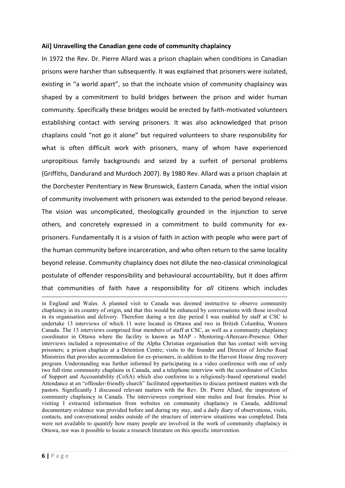### **Aii] Unravelling the Canadian gene code of community chaplaincy**

In 1972 the Rev. Dr. Pierre Allard was a prison chaplain when conditions in Canadian prisons were harsher than subsequently. It was explained that prisoners were isolated, existing in "a world apart", so that the inchoate vision of community chaplaincy was shaped by a commitment to build bridges between the prison and wider human community. Specifically these bridges would be erected by faith-motivated volunteers establishing contact with serving prisoners. It was also acknowledged that prison chaplains could "not go it alone" but required volunteers to share responsibility for what is often difficult work with prisoners, many of whom have experienced unpropitious family backgrounds and seized by a surfeit of personal problems (Griffiths, Dandurand and Murdoch 2007). By 1980 Rev. Allard was a prison chaplain at the Dorchester Penitentiary in New Brunswick, Eastern Canada, when the initial vision of community involvement with prisoners was extended to the period beyond release. The vision was uncomplicated, theologically grounded in the injunction to serve others, and concretely expressed in a commitment to build community for exprisoners. Fundamentally it is a vision of faith in action with people who were part of the human community before incarceration, and who often return to the same locality beyond release. Community chaplaincy does not dilute the neo-classical criminological postulate of offender responsibility and behavioural accountability, but it does affirm that communities of faith have a responsibility for *all* citizens which includes

1

in England and Wales. A planned visit to Canada was deemed instructive to observe community chaplaincy in its country of origin, and that this would be enhanced by conversations with those involved in its organisation and delivery. Therefore during a ten day period I was enabled by staff at CSC to undertake 13 interviews of which 11 were located in Ottawa and two in British Columbia, Western Canada. The 13 interviews comprised four members of staff at CSC, as well as a community chaplaincy coordinator in Ottawa where the facility is known as MAP - Mentoring-Aftercare-Presence. Other interviews included a representative of the Alpha Christian organisation that has contact with serving prisoners; a prison chaplain at a Detention Centre; visits to the founder and Director of Jericho Road Ministries that provides accommodation for ex-prisoners, in addition to the Harvest House drug recovery program. Understanding was further informed by participating in a video conference with one of only two full-time community chaplains in Canada, and a telephone interview with the coordinator of Circles of Support and Accountability (CoSA) which also conforms to a religiously-based operational model. Attendance at an "offender-friendly church" facilitated opportunities to discuss pertinent matters with the pastors. Significantly I discussed relevant matters with the Rev. Dr. Pierre Allard, the inspiration of community chaplaincy in Canada. The interviewees comprised nine males and four females. Prior to visiting I extracted information from websites on community chaplaincy in Canada, additional documentary evidence was provided before and during my stay, and a daily diary of observations, visits, contacts, and conversational asides outside of the structure of interview situations was completed. Data were not available to quantify how many people are involved in the work of community chaplaincy in Ottawa, nor was it possible to locate a research literature on this specific intervention.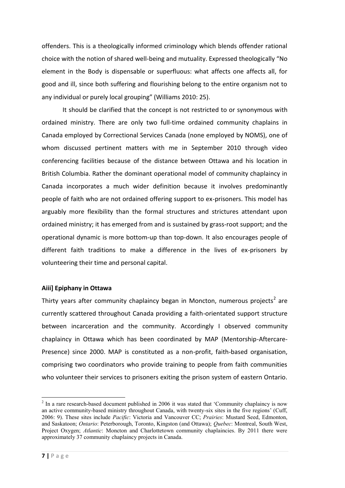offenders. This is a theologically informed criminology which blends offender rational choice with the notion of shared well-being and mutuality. Expressed theologically "No element in the Body is dispensable or superfluous: what affects one affects all, for good and ill, since both suffering and flourishing belong to the entire organism not to any individual or purely local grouping" (Williams 2010: 25).

It should be clarified that the concept is not restricted to or synonymous with ordained ministry. There are only two full-time ordained community chaplains in Canada employed by Correctional Services Canada (none employed by NOMS), one of whom discussed pertinent matters with me in September 2010 through video conferencing facilities because of the distance between Ottawa and his location in British Columbia. Rather the dominant operational model of community chaplaincy in Canada incorporates a much wider definition because it involves predominantly people of faith who are not ordained offering support to ex-prisoners. This model has arguably more flexibility than the formal structures and strictures attendant upon ordained ministry; it has emerged from and is sustained by grass-root support; and the operational dynamic is more bottom-up than top-down. It also encourages people of different faith traditions to make a difference in the lives of ex-prisoners by volunteering their time and personal capital.

## **Aiii] Epiphany in Ottawa**

Thirty years after community chaplaincy began in Moncton, numerous projects<sup>2</sup> are currently scattered throughout Canada providing a faith-orientated support structure between incarceration and the community. Accordingly I observed community chaplaincy in Ottawa which has been coordinated by MAP (Mentorship-Aftercare-Presence) since 2000. MAP is constituted as a non-profit, faith-based organisation, comprising two coordinators who provide training to people from faith communities who volunteer their services to prisoners exiting the prison system of eastern Ontario.

**.** 

 $2 \text{ In a rare research-based document published in 2006 it was stated that 'Community chaplaincy is now.}$ an active community-based ministry throughout Canada, with twenty-six sites in the five regions" (Cuff, 2006: 9). These sites include *Pacific*: Victoria and Vancouver CC; *Prairies*: Mustard Seed, Edmonton, and Saskatoon; *Ontario*: Peterborough, Toronto, Kingston (and Ottawa); *Quebec*: Montreal, South West, Project Oxygen; *Atlantic*: Moncton and Charlottetown community chaplaincies. By 2011 there were approximately 37 community chaplaincy projects in Canada.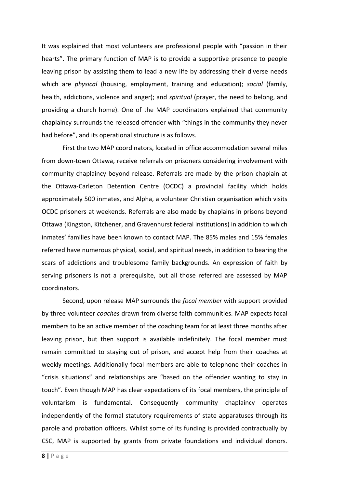It was explained that most volunteers are professional people with "passion in their hearts". The primary function of MAP is to provide a supportive presence to people leaving prison by assisting them to lead a new life by addressing their diverse needs which are *physical* (housing, employment, training and education); *social* (family, health, addictions, violence and anger); and *spiritual* (prayer, the need to belong, and providing a church home). One of the MAP coordinators explained that community chaplaincy surrounds the released offender with "things in the community they never had before", and its operational structure is as follows.

First the two MAP coordinators, located in office accommodation several miles from down-town Ottawa, receive referrals on prisoners considering involvement with community chaplaincy beyond release. Referrals are made by the prison chaplain at the Ottawa-Carleton Detention Centre (OCDC) a provincial facility which holds approximately 500 inmates, and Alpha, a volunteer Christian organisation which visits OCDC prisoners at weekends. Referrals are also made by chaplains in prisons beyond Ottawa (Kingston, Kitchener, and Gravenhurst federal institutions) in addition to which inmates' families have been known to contact MAP. The 85% males and 15% females referred have numerous physical, social, and spiritual needs, in addition to bearing the scars of addictions and troublesome family backgrounds. An expression of faith by serving prisoners is not a prerequisite, but all those referred are assessed by MAP coordinators.

Second, upon release MAP surrounds the *focal member* with support provided by three volunteer *coaches* drawn from diverse faith communities. MAP expects focal members to be an active member of the coaching team for at least three months after leaving prison, but then support is available indefinitely. The focal member must remain committed to staying out of prison, and accept help from their coaches at weekly meetings. Additionally focal members are able to telephone their coaches in "crisis situations" and relationships are "based on the offender wanting to stay in touch". Even though MAP has clear expectations of its focal members, the principle of voluntarism is fundamental. Consequently community chaplaincy operates independently of the formal statutory requirements of state apparatuses through its parole and probation officers. Whilst some of its funding is provided contractually by CSC, MAP is supported by grants from private foundations and individual donors.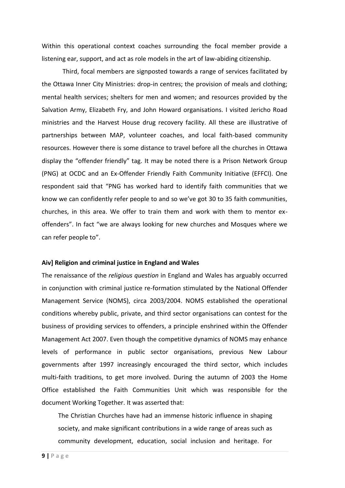Within this operational context coaches surrounding the focal member provide a listening ear, support, and act as role models in the art of law-abiding citizenship.

Third, focal members are signposted towards a range of services facilitated by the Ottawa Inner City Ministries: drop-in centres; the provision of meals and clothing; mental health services; shelters for men and women; and resources provided by the Salvation Army, Elizabeth Fry, and John Howard organisations. I visited Jericho Road ministries and the Harvest House drug recovery facility. All these are illustrative of partnerships between MAP, volunteer coaches, and local faith-based community resources. However there is some distance to travel before all the churches in Ottawa display the "offender friendly" tag. It may be noted there is a Prison Network Group (PNG) at OCDC and an Ex-Offender Friendly Faith Community Initiative (EFFCI). One respondent said that "PNG has worked hard to identify faith communities that we know we can confidently refer people to and so we've got 30 to 35 faith communities, churches, in this area. We offer to train them and work with them to mentor exoffenders". In fact "we are always looking for new churches and Mosques where we can refer people to".

#### **Aiv] Religion and criminal justice in England and Wales**

The renaissance of the *religious question* in England and Wales has arguably occurred in conjunction with criminal justice re-formation stimulated by the National Offender Management Service (NOMS), circa 2003/2004. NOMS established the operational conditions whereby public, private, and third sector organisations can contest for the business of providing services to offenders, a principle enshrined within the Offender Management Act 2007. Even though the competitive dynamics of NOMS may enhance levels of performance in public sector organisations, previous New Labour governments after 1997 increasingly encouraged the third sector, which includes multi-faith traditions, to get more involved. During the autumn of 2003 the Home Office established the Faith Communities Unit which was responsible for the document Working Together. It was asserted that:

The Christian Churches have had an immense historic influence in shaping society, and make significant contributions in a wide range of areas such as community development, education, social inclusion and heritage. For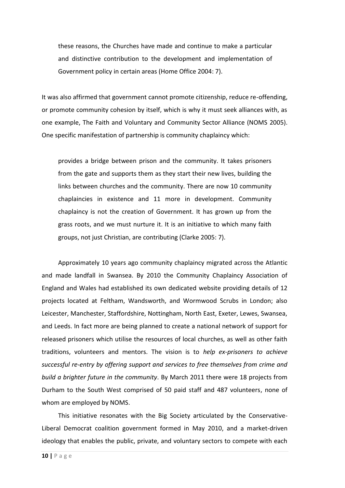these reasons, the Churches have made and continue to make a particular and distinctive contribution to the development and implementation of Government policy in certain areas (Home Office 2004: 7).

It was also affirmed that government cannot promote citizenship, reduce re-offending, or promote community cohesion by itself, which is why it must seek alliances with, as one example, The Faith and Voluntary and Community Sector Alliance (NOMS 2005). One specific manifestation of partnership is community chaplaincy which:

provides a bridge between prison and the community. It takes prisoners from the gate and supports them as they start their new lives, building the links between churches and the community. There are now 10 community chaplaincies in existence and 11 more in development. Community chaplaincy is not the creation of Government. It has grown up from the grass roots, and we must nurture it. It is an initiative to which many faith groups, not just Christian, are contributing (Clarke 2005: 7).

Approximately 10 years ago community chaplaincy migrated across the Atlantic and made landfall in Swansea. By 2010 the Community Chaplaincy Association of England and Wales had established its own dedicated website providing details of 12 projects located at Feltham, Wandsworth, and Wormwood Scrubs in London; also Leicester, Manchester, Staffordshire, Nottingham, North East, Exeter, Lewes, Swansea, and Leeds. In fact more are being planned to create a national network of support for released prisoners which utilise the resources of local churches, as well as other faith traditions, volunteers and mentors. The vision is to *help ex-prisoners to achieve successful re-entry by offering support and services to free themselves from crime and build a brighter future in the community*. By March 2011 there were 18 projects from Durham to the South West comprised of 50 paid staff and 487 volunteers, none of whom are employed by NOMS.

This initiative resonates with the Big Society articulated by the Conservative-Liberal Democrat coalition government formed in May 2010, and a market-driven ideology that enables the public, private, and voluntary sectors to compete with each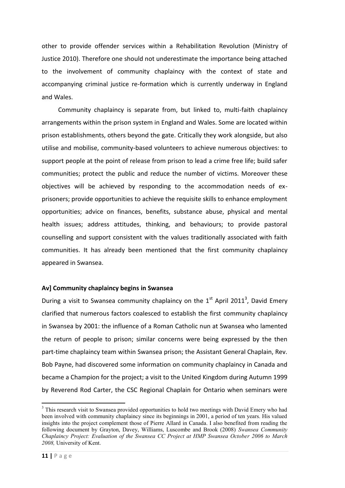other to provide offender services within a Rehabilitation Revolution (Ministry of Justice 2010). Therefore one should not underestimate the importance being attached to the involvement of community chaplaincy with the context of state and accompanying criminal justice re-formation which is currently underway in England and Wales.

Community chaplaincy is separate from, but linked to, multi-faith chaplaincy arrangements within the prison system in England and Wales. Some are located within prison establishments, others beyond the gate. Critically they work alongside, but also utilise and mobilise, community-based volunteers to achieve numerous objectives: to support people at the point of release from prison to lead a crime free life; build safer communities; protect the public and reduce the number of victims. Moreover these objectives will be achieved by responding to the accommodation needs of exprisoners; provide opportunities to achieve the requisite skills to enhance employment opportunities; advice on finances, benefits, substance abuse, physical and mental health issues; address attitudes, thinking, and behaviours; to provide pastoral counselling and support consistent with the values traditionally associated with faith communities. It has already been mentioned that the first community chaplaincy appeared in Swansea.

## **Av] Community chaplaincy begins in Swansea**

During a visit to Swansea community chaplaincy on the  $1<sup>st</sup>$  April 2011<sup>3</sup>, David Emery clarified that numerous factors coalesced to establish the first community chaplaincy in Swansea by 2001: the influence of a Roman Catholic nun at Swansea who lamented the return of people to prison; similar concerns were being expressed by the then part-time chaplaincy team within Swansea prison; the Assistant General Chaplain, Rev. Bob Payne, had discovered some information on community chaplaincy in Canada and became a Champion for the project; a visit to the United Kingdom during Autumn 1999 by Reverend Rod Carter, the CSC Regional Chaplain for Ontario when seminars were

1

<sup>&</sup>lt;sup>3</sup> This research visit to Swansea provided opportunities to hold two meetings with David Emery who had been involved with community chaplaincy since its beginnings in 2001, a period of ten years. His valued insights into the project complement those of Pierre Allard in Canada. I also benefited from reading the following document by Grayton, Davey, Williams, Luscombe and Brook (2008) *Swansea Community Chaplaincy Project: Evaluation of the Swansea CC Project at HMP Swansea October 2006 to March 2008,* University of Kent.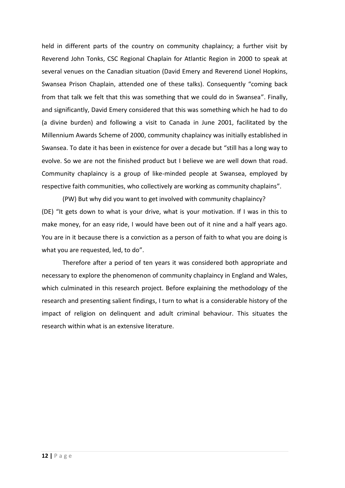held in different parts of the country on community chaplaincy; a further visit by Reverend John Tonks, CSC Regional Chaplain for Atlantic Region in 2000 to speak at several venues on the Canadian situation (David Emery and Reverend Lionel Hopkins, Swansea Prison Chaplain, attended one of these talks). Consequently "coming back from that talk we felt that this was something that we could do in Swansea". Finally, and significantly, David Emery considered that this was something which he had to do (a divine burden) and following a visit to Canada in June 2001, facilitated by the Millennium Awards Scheme of 2000, community chaplaincy was initially established in Swansea. To date it has been in existence for over a decade but "still has a long way to evolve. So we are not the finished product but I believe we are well down that road. Community chaplaincy is a group of like-minded people at Swansea, employed by respective faith communities, who collectively are working as community chaplains".

(PW) But why did you want to get involved with community chaplaincy? (DE) "It gets down to what is your drive, what is your motivation. If I was in this to make money, for an easy ride, I would have been out of it nine and a half years ago. You are in it because there is a conviction as a person of faith to what you are doing is what you are requested, led, to do".

Therefore after a period of ten years it was considered both appropriate and necessary to explore the phenomenon of community chaplaincy in England and Wales, which culminated in this research project. Before explaining the methodology of the research and presenting salient findings, I turn to what is a considerable history of the impact of religion on delinquent and adult criminal behaviour. This situates the research within what is an extensive literature.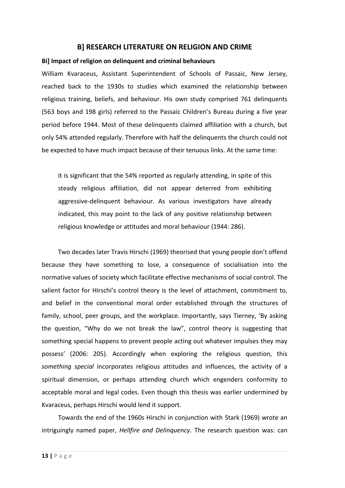## **B] RESEARCH LITERATURE ON RELIGION AND CRIME**

#### **Bi] Impact of religion on delinquent and criminal behaviours**

William Kvaraceus, Assistant Superintendent of Schools of Passaic, New Jersey, reached back to the 1930s to studies which examined the relationship between religious training, beliefs, and behaviour. His own study comprised 761 delinquents (563 boys and 198 girls) referred to the Passaic Children's Bureau during a five year period before 1944. Most of these delinquents claimed affiliation with a church, but only 54% attended regularly. Therefore with half the delinquents the church could not be expected to have much impact because of their tenuous links. At the same time:

it is significant that the 54% reported as regularly attending, in spite of this steady religious affiliation, did not appear deterred from exhibiting aggressive-delinquent behaviour. As various investigators have already indicated, this may point to the lack of any positive relationship between religious knowledge or attitudes and moral behaviour (1944: 286).

Two decades later Travis Hirschi (1969) theorised that young people don't offend because they have something to lose, a consequence of socialisation into the normative values of society which facilitate effective mechanisms of social control. The salient factor for Hirschi's control theory is the level of attachment, commitment to, and belief in the conventional moral order established through the structures of family, school, peer groups, and the workplace. Importantly, says Tierney, 'By asking the question, "Why do we not break the law", control theory is suggesting that something special happens to prevent people acting out whatever impulses they may possess' (2006: 205). Accordingly when exploring the religious question, this *something special* incorporates religious attitudes and influences, the activity of a spiritual dimension, or perhaps attending church which engenders conformity to acceptable moral and legal codes. Even though this thesis was earlier undermined by Kvaraceus, perhaps Hirschi would lend it support.

Towards the end of the 1960s Hirschi in conjunction with Stark (1969) wrote an intriguingly named paper, *Hellfire and Delinquency*. The research question was: can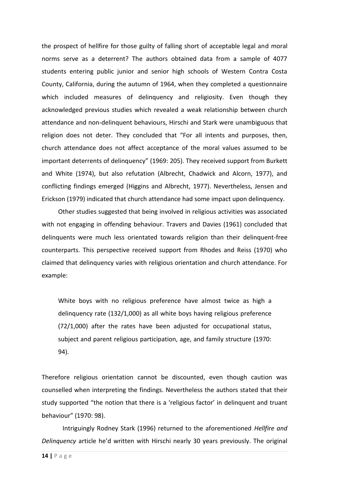the prospect of hellfire for those guilty of falling short of acceptable legal and moral norms serve as a deterrent? The authors obtained data from a sample of 4077 students entering public junior and senior high schools of Western Contra Costa County, California, during the autumn of 1964, when they completed a questionnaire which included measures of delinquency and religiosity. Even though they acknowledged previous studies which revealed a weak relationship between church attendance and non-delinquent behaviours, Hirschi and Stark were unambiguous that religion does not deter. They concluded that "For all intents and purposes, then, church attendance does not affect acceptance of the moral values assumed to be important deterrents of delinquency" (1969: 205). They received support from Burkett and White (1974), but also refutation (Albrecht, Chadwick and Alcorn, 1977), and conflicting findings emerged (Higgins and Albrecht, 1977). Nevertheless, Jensen and Erickson (1979) indicated that church attendance had some impact upon delinquency.

Other studies suggested that being involved in religious activities was associated with not engaging in offending behaviour. Travers and Davies (1961) concluded that delinquents were much less orientated towards religion than their delinquent-free counterparts. This perspective received support from Rhodes and Reiss (1970) who claimed that delinquency varies with religious orientation and church attendance. For example:

White boys with no religious preference have almost twice as high a delinquency rate (132/1,000) as all white boys having religious preference (72/1,000) after the rates have been adjusted for occupational status, subject and parent religious participation, age, and family structure (1970: 94).

Therefore religious orientation cannot be discounted, even though caution was counselled when interpreting the findings. Nevertheless the authors stated that their study supported "the notion that there is a 'religious factor' in delinquent and truant behaviour" (1970: 98).

Intriguingly Rodney Stark (1996) returned to the aforementioned *Hellfire and Delinquency* article he'd written with Hirschi nearly 30 years previously. The original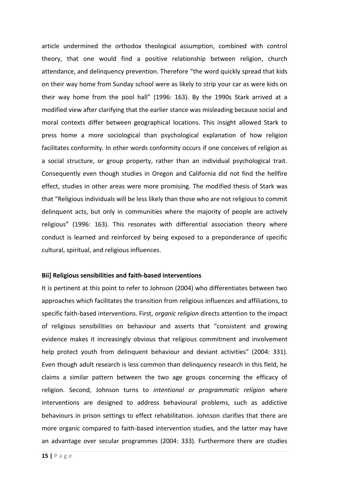article undermined the orthodox theological assumption, combined with control theory, that one would find a positive relationship between religion, church attendance, and delinquency prevention. Therefore "the word quickly spread that kids on their way home from Sunday school were as likely to strip your car as were kids on their way home from the pool hall" (1996: 163). By the 1990s Stark arrived at a modified view after clarifying that the earlier stance was misleading because social and moral contexts differ between geographical locations. This insight allowed Stark to press home a more sociological than psychological explanation of how religion facilitates conformity. In other words conformity occurs if one conceives of religion as a social structure, or group property, rather than an individual psychological trait. Consequently even though studies in Oregon and California did not find the hellfire effect, studies in other areas were more promising. The modified thesis of Stark was that "Religious individuals will be less likely than those who are not religious to commit delinquent acts, but only in communities where the majority of people are actively religious" (1996: 163). This resonates with differential association theory where conduct is learned and reinforced by being exposed to a preponderance of specific cultural, spiritual, and religious influences.

#### **Bii] Religious sensibilities and faith-based interventions**

It is pertinent at this point to refer to Johnson (2004) who differentiates between two approaches which facilitates the transition from religious influences and affiliations, to specific faith-based interventions. First, *organic religion* directs attention to the impact of religious sensibilities on behaviour and asserts that "consistent and growing evidence makes it increasingly obvious that religious commitment and involvement help protect youth from delinquent behaviour and deviant activities" (2004: 331). Even though adult research is less common than delinquency research in this field, he claims a similar pattern between the two age groups concerning the efficacy of religion. Second, Johnson turns to *intentional or programmatic religion* where interventions are designed to address behavioural problems, such as addictive behaviours in prison settings to effect rehabilitation. Johnson clarifies that there are more organic compared to faith-based intervention studies, and the latter may have an advantage over secular programmes (2004: 333). Furthermore there are studies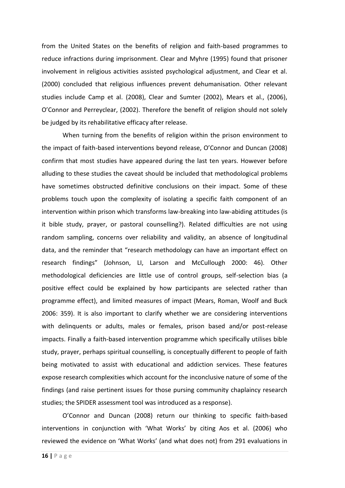from the United States on the benefits of religion and faith-based programmes to reduce infractions during imprisonment. Clear and Myhre (1995) found that prisoner involvement in religious activities assisted psychological adjustment, and Clear et al. (2000) concluded that religious influences prevent dehumanisation. Other relevant studies include Camp et al. (2008), Clear and Sumter (2002), Mears et al., (2006), O'Connor and Perreyclear, (2002). Therefore the benefit of religion should not solely be judged by its rehabilitative efficacy after release.

When turning from the benefits of religion within the prison environment to the impact of faith-based interventions beyond release, O'Connor and Duncan (2008) confirm that most studies have appeared during the last ten years. However before alluding to these studies the caveat should be included that methodological problems have sometimes obstructed definitive conclusions on their impact. Some of these problems touch upon the complexity of isolating a specific faith component of an intervention within prison which transforms law-breaking into law-abiding attitudes (is it bible study, prayer, or pastoral counselling?). Related difficulties are not using random sampling, concerns over reliability and validity, an absence of longitudinal data, and the reminder that "research methodology can have an important effect on research findings" (Johnson, LI, Larson and McCullough 2000: 46). Other methodological deficiencies are little use of control groups, self-selection bias (a positive effect could be explained by how participants are selected rather than programme effect), and limited measures of impact (Mears, Roman, Woolf and Buck 2006: 359). It is also important to clarify whether we are considering interventions with delinquents or adults, males or females, prison based and/or post-release impacts. Finally a faith-based intervention programme which specifically utilises bible study, prayer, perhaps spiritual counselling, is conceptually different to people of faith being motivated to assist with educational and addiction services. These features expose research complexities which account for the inconclusive nature of some of the findings (and raise pertinent issues for those pursing community chaplaincy research studies; the SPIDER assessment tool was introduced as a response).

O'Connor and Duncan (2008) return our thinking to specific faith-based interventions in conjunction with 'What Works' by citing Aos et al. (2006) who reviewed the evidence on 'What Works' (and what does not) from 291 evaluations in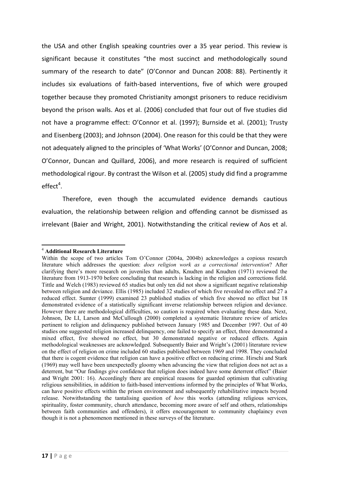the USA and other English speaking countries over a 35 year period. This review is significant because it constitutes "the most succinct and methodologically sound summary of the research to date" (O'Connor and Duncan 2008: 88). Pertinently it includes six evaluations of faith-based interventions, five of which were grouped together because they promoted Christianity amongst prisoners to reduce recidivism beyond the prison walls. Aos et al. (2006) concluded that four out of five studies did not have a programme effect: O'Connor et al. (1997); Burnside et al. (2001); Trusty and Eisenberg (2003); and Johnson (2004). One reason for this could be that they were not adequately aligned to the principles of 'What Works' (O'Connor and Duncan, 2008; O'Connor, Duncan and Quillard, 2006), and more research is required of sufficient methodological rigour. By contrast the Wilson et al. (2005) study did find a programme  $effect<sup>4</sup>$ .

Therefore, even though the accumulated evidence demands cautious evaluation, the relationship between religion and offending cannot be dismissed as irrelevant (Baier and Wright, 2001). Notwithstanding the critical review of Aos et al.

<sup>1</sup> <sup>4</sup> **Additional Research Literature**

Within the scope of two articles Tom O"Connor (2004a, 2004b) acknowledges a copious research literature which addresses the question: *does religion work as a correctional intervention*? After clarifying there"s more research on juveniles than adults, Knudten and Knudten (1971) reviewed the literature from 1913-1970 before concluding that research is lacking in the religion and corrections field. Tittle and Welch (1983) reviewed 65 studies but only ten did not show a significant negative relationship between religion and deviance. Ellis (1985) included 32 studies of which five revealed no effect and 27 a reduced effect. Sumter (1999) examined 23 published studies of which five showed no effect but 18 demonstrated evidence of a statistically significant inverse relationship between religion and deviance. However there are methodological difficulties, so caution is required when evaluating these data. Next, Johnson, De LI, Larson and McCullough (2000) completed a systematic literature review of articles pertinent to religion and delinquency published between January 1985 and December 1997. Out of 40 studies one suggested religion increased delinquency, one failed to specify an effect, three demonstrated a mixed effect, five showed no effect, but 30 demonstrated negative or reduced effects. Again methodological weaknesses are acknowledged. Subsequently Baier and Wright"s (2001) literature review on the effect of religion on crime included 60 studies published between 1969 and 1998. They concluded that there is cogent evidence that religion can have a positive effect on reducing crime. Hirschi and Stark (1969) may well have been unexpectedly gloomy when advancing the view that religion does not act as a deterrent, but "Our findings give confidence that religion does indeed have some deterrent effect" (Baier and Wright 2001: 16). Accordingly there are empirical reasons for guarded optimism that cultivating religious sensibilities, in addition to faith-based interventions informed by the principles of What Works, can have positive effects within the prison environment and subsequently rehabilitative impacts beyond release. Notwithstanding the tantalising question of *how* this works (attending religious services, spirituality, foster community, church attendance, becoming more aware of self and others, relationships between faith communities and offenders), it offers encouragement to community chaplaincy even though it is not a phenomenon mentioned in these surveys of the literature.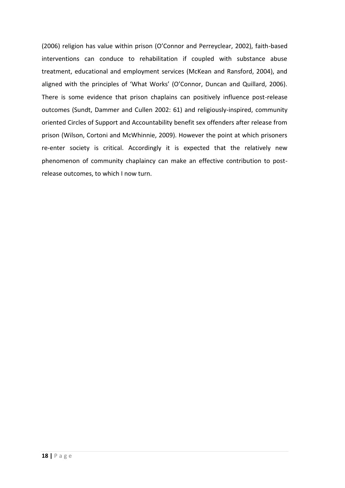(2006) religion has value within prison (O'Connor and Perreyclear, 2002), faith-based interventions can conduce to rehabilitation if coupled with substance abuse treatment, educational and employment services (McKean and Ransford, 2004), and aligned with the principles of 'What Works' (O'Connor, Duncan and Quillard, 2006). There is some evidence that prison chaplains can positively influence post-release outcomes (Sundt, Dammer and Cullen 2002: 61) and religiously-inspired, community oriented Circles of Support and Accountability benefit sex offenders after release from prison (Wilson, Cortoni and McWhinnie, 2009). However the point at which prisoners re-enter society is critical. Accordingly it is expected that the relatively new phenomenon of community chaplaincy can make an effective contribution to postrelease outcomes, to which I now turn.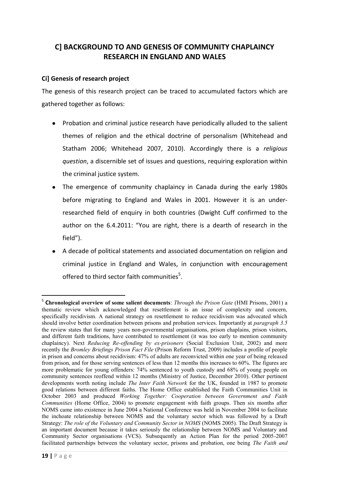# **C] BACKGROUND TO AND GENESIS OF COMMUNITY CHAPLAINCY RESEARCH IN ENGLAND AND WALES**

## **Ci] Genesis of research project**

The genesis of this research project can be traced to accumulated factors which are gathered together as follows:

- Probation and criminal justice research have periodically alluded to the salient themes of religion and the ethical doctrine of personalism (Whitehead and Statham 2006; Whitehead 2007, 2010). Accordingly there is a *religious question*, a discernible set of issues and questions, requiring exploration within the criminal justice system.
- The emergence of community chaplaincy in Canada during the early 1980s before migrating to England and Wales in 2001. However it is an underresearched field of enquiry in both countries (Dwight Cuff confirmed to the author on the 6.4.2011: "You are right, there is a dearth of research in the field").
- A decade of political statements and associated documentation on religion and criminal justice in England and Wales, in conjunction with encouragement offered to third sector faith communities $5$ .

1

<sup>5</sup> **Chronological overview of some salient documents**: *Through the Prison Gate* (HMI Prisons, 2001) a thematic review which acknowledged that resettlement is an issue of complexity and concern, specifically recidivism. A national strategy on resettlement to reduce recidivism was advocated which should involve better coordination between prisons and probation services. Importantly at *paragraph 3.5* the review states that for many years non-governmental organisations, prison chaplains, prison visitors, and different faith traditions, have contributed to resettlement (it was too early to mention community chaplaincy). Next *Reducing Re-offending by ex-prisoners* (Social Exclusion Unit, 2002) and more recently the *Bromley Briefings Prison Fact File* (Prison Reform Trust, 2009) includes a profile of people in prison and concerns about recidivism: 47% of adults are reconvicted within one year of being released from prison, and for those serving sentences of less than 12 months this increases to 60%. The figures are more problematic for young offenders: 74% sentenced to youth custody and 68% of young people on community sentences reoffend within 12 months (Ministry of Justice, December 2010). Other pertinent developments worth noting include *The Inter Faith Network* for the UK, founded in 1987 to promote good relations between different faiths. The Home Office established the Faith Communities Unit in October 2003 and produced *Working Together: Cooperation between Government and Faith Communities* (Home Office, 2004) to promote engagement with faith groups. Then six months after NOMS came into existence in June 2004 a National Conference was held in November 2004 to facilitate the inchoate relationship between NOMS and the voluntary sector which was followed by a Draft Strategy: *The role of the Voluntary and Community Sector in NOMS* (NOMS 2005). The Draft Strategy is an important document because it takes seriously the relationship between NOMS and Voluntary and Community Sector organisations (VCS). Subsequently an Action Plan for the period 2005-2007 facilitated partnerships between the voluntary sector, prisons and probation, one being *The Faith and*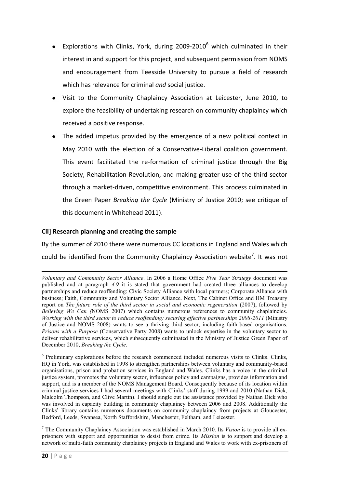- Explorations with Clinks, York, during 2009-2010<sup>6</sup> which culminated in their interest in and support for this project, and subsequent permission from NOMS and encouragement from Teesside University to pursue a field of research which has relevance for criminal *and* social justice.
- Visit to the Community Chaplaincy Association at Leicester, June 2010, to explore the feasibility of undertaking research on community chaplaincy which received a positive response.
- The added impetus provided by the emergence of a new political context in May 2010 with the election of a Conservative-Liberal coalition government. This event facilitated the re-formation of criminal justice through the Big Society, Rehabilitation Revolution, and making greater use of the third sector through a market-driven, competitive environment. This process culminated in the Green Paper *Breaking the Cycle* (Ministry of Justice 2010; see critique of this document in Whitehead 2011).

## **Cii] Research planning and creating the sample**

By the summer of 2010 there were numerous CC locations in England and Wales which could be identified from the Community Chaplaincy Association website<sup>7</sup>. It was not

**<sup>.</sup>** *Voluntary and Community Sector Alliance*. In 2006 a Home Office *Five Year Strategy* document was published and at paragraph *4.9* it is stated that government had created three alliances to develop partnerships and reduce reoffending: Civic Society Alliance with local partners; Corporate Alliance with business; Faith, Community and Voluntary Sector Alliance. Next, The Cabinet Office and HM Treasury report on *The future role of the third sector in social and economic regeneration* (2007), followed by *Believing We Can (*NOMS 2007) which contains numerous references to community chaplaincies. *Working with the third sector to reduce reoffending: securing effective partnerships 2008-2011* (Ministry of Justice and NOMS 2008) wants to see a thriving third sector, including faith-based organisations. *Prisons with a Purpose* (Conservative Party 2008) wants to unlock expertise in the voluntary sector to deliver rehabilitative services, which subsequently culminated in the Ministry of Justice Green Paper of December 2010, *Breaking the Cycle*.

<sup>&</sup>lt;sup>6</sup> Preliminary explorations before the research commenced included numerous visits to Clinks. Clinks, HQ in York, was established in 1998 to strengthen partnerships between voluntary and community-based organisations, prison and probation services in England and Wales. Clinks has a voice in the criminal justice system, promotes the voluntary sector, influences policy and campaigns, provides information and support, and is a member of the NOMS Management Board. Consequently because of its location within criminal justice services I had several meetings with Clinks" staff during 1999 and 2010 (Nathan Dick, Malcolm Thompson, and Clive Martin). I should single out the assistance provided by Nathan Dick who was involved in capacity building in community chaplaincy between 2006 and 2008. Additionally the Clinks" library contains numerous documents on community chaplaincy from projects at Gloucester, Bedford, Leeds, Swansea, North Staffordshire, Manchester, Feltham, and Leicester.

<sup>7</sup> The Community Chaplaincy Association was established in March 2010. Its *Vision* is to provide all exprisoners with support and opportunities to desist from crime. Its *Mission* is to support and develop a network of multi-faith community chaplaincy projects in England and Wales to work with ex-prisoners of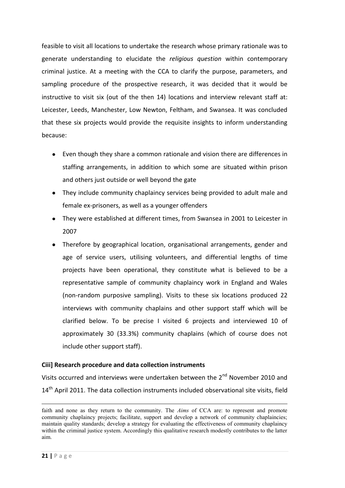feasible to visit all locations to undertake the research whose primary rationale was to generate understanding to elucidate the *religious question* within contemporary criminal justice. At a meeting with the CCA to clarify the purpose, parameters, and sampling procedure of the prospective research, it was decided that it would be instructive to visit six (out of the then 14) locations and interview relevant staff at: Leicester, Leeds, Manchester, Low Newton, Feltham, and Swansea. It was concluded that these six projects would provide the requisite insights to inform understanding because:

- Even though they share a common rationale and vision there are differences in staffing arrangements, in addition to which some are situated within prison and others just outside or well beyond the gate
- They include community chaplaincy services being provided to adult male and female ex-prisoners, as well as a younger offenders
- They were established at different times, from Swansea in 2001 to Leicester in 2007
- Therefore by geographical location, organisational arrangements, gender and age of service users, utilising volunteers, and differential lengths of time projects have been operational, they constitute what is believed to be a representative sample of community chaplaincy work in England and Wales (non-random purposive sampling). Visits to these six locations produced 22 interviews with community chaplains and other support staff which will be clarified below. To be precise I visited 6 projects and interviewed 10 of approximately 30 (33.3%) community chaplains (which of course does not include other support staff).

## **Ciii] Research procedure and data collection instruments**

Visits occurred and interviews were undertaken between the 2<sup>nd</sup> November 2010 and 14<sup>th</sup> April 2011. The data collection instruments included observational site visits, field

1

faith and none as they return to the community. The *Aims* of CCA are: to represent and promote community chaplaincy projects; facilitate, support and develop a network of community chaplaincies; maintain quality standards; develop a strategy for evaluating the effectiveness of community chaplaincy within the criminal justice system. Accordingly this qualitative research modestly contributes to the latter aim.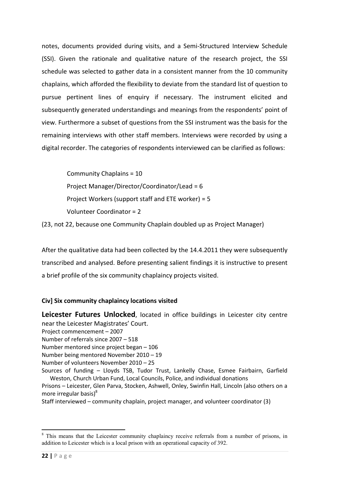notes, documents provided during visits, and a Semi-Structured Interview Schedule (SSI). Given the rationale and qualitative nature of the research project, the SSI schedule was selected to gather data in a consistent manner from the 10 community chaplains, which afforded the flexibility to deviate from the standard list of question to pursue pertinent lines of enquiry if necessary. The instrument elicited and subsequently generated understandings and meanings from the respondents' point of view. Furthermore a subset of questions from the SSI instrument was the basis for the remaining interviews with other staff members. Interviews were recorded by using a digital recorder. The categories of respondents interviewed can be clarified as follows:

 Community Chaplains = 10 Project Manager/Director/Coordinator/Lead = 6 Project Workers (support staff and ETE worker) = 5 Volunteer Coordinator = 2

(23, not 22, because one Community Chaplain doubled up as Project Manager)

After the qualitative data had been collected by the 14.4.2011 they were subsequently transcribed and analysed. Before presenting salient findings it is instructive to present a brief profile of the six community chaplaincy projects visited.

## **Civ] Six community chaplaincy locations visited**

**Leicester Futures Unlocked**, located in office buildings in Leicester city centre near the Leicester Magistrates' Court.

- Project commencement 2007
- Number of referrals since 2007 518
- Number mentored since project began 106
- Number being mentored November 2010 19
- Number of volunteers November 2010 25

Sources of funding – Lloyds TSB, Tudor Trust, Lankelly Chase, Esmee Fairbairn, Garfield Weston, Church Urban Fund, Local Councils, Police, and individual donations

Prisons – Leicester, Glen Parva, Stocken, Ashwell, Onley, Swinfin Hall, Lincoln (also others on a more irregular basis $)^8$ 

Staff interviewed – community chaplain, project manager, and volunteer coordinator (3)

**.** 

<sup>&</sup>lt;sup>8</sup> This means that the Leicester community chaplaincy receive referrals from a number of prisons, in addition to Leicester which is a local prison with an operational capacity of 392.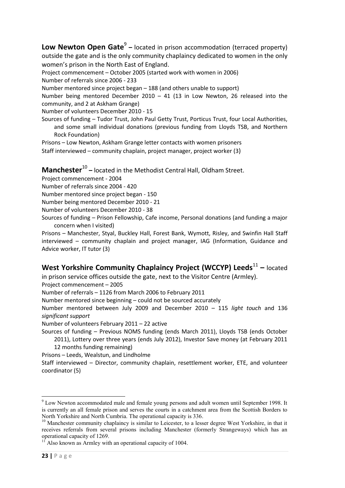**Low Newton Open Gate**<sup>9</sup> – located in prison accommodation (terraced property) outside the gate and is the only community chaplaincy dedicated to women in the only women's prison in the North East of England.

Project commencement – October 2005 (started work with women in 2006)

Number of referrals since 2006 - 233

Number mentored since project began – 188 (and others unable to support)

Number being mentored December 2010 – 41 (13 in Low Newton, 26 released into the community, and 2 at Askham Grange)

Number of volunteers December 2010 - 15

Sources of funding – Tudor Trust, John Paul Getty Trust, Porticus Trust, four Local Authorities, and some small individual donations (previous funding from Lloyds TSB, and Northern Rock Foundation)

Prisons – Low Newton, Askham Grange letter contacts with women prisoners Staff interviewed – community chaplain, project manager, project worker (3)

# **Manchester**<sup>10</sup> – located in the Methodist Central Hall, Oldham Street.

- Project commencement 2004
- Number of referrals since 2004 420
- Number mentored since project began 150
- Number being mentored December 2010 21

Number of volunteers December 2010 - 38

Sources of funding – Prison Fellowship, Cafe income, Personal donations (and funding a major concern when I visited)

Prisons – Manchester, Styal, Buckley Hall, Forest Bank, Wymott, Risley, and Swinfin Hall Staff interviewed – community chaplain and project manager, IAG (Information, Guidance and Advice worker, IT tutor (3)

# West Yorkshire Community Chaplaincy Project (WCCYP) Leeds<sup>11</sup> - located

in prison service offices outside the gate, next to the Visitor Centre (Armley).

Project commencement – 2005

Number of referrals – 1126 from March 2006 to February 2011

Number mentored since beginning – could not be sourced accurately

Number mentored between July 2009 and December 2010 – 115 *light touch* and 136 *significant support*

Number of volunteers February 2011 – 22 active

Sources of funding – Previous NOMS funding (ends March 2011), Lloyds TSB (ends October

2011), Lottery over three years (ends July 2012), Investor Save money (at February 2011 12 months funding remaining)

Prisons – Leeds, Wealstun, and Lindholme

Staff interviewed – Director, community chaplain, resettlement worker, ETE, and volunteer coordinator (5)

**.** 

<sup>&</sup>lt;sup>9</sup> Low Newton accommodated male and female young persons and adult women until September 1998. It is currently an all female prison and serves the courts in a catchment area from the Scottish Borders to North Yorkshire and North Cumbria. The operational capacity is 336.

<sup>&</sup>lt;sup>10</sup> Manchester community chaplaincy is similar to Leicester, to a lesser degree West Yorkshire, in that it receives referrals from several prisons including Manchester (formerly Strangeways) which has an operational capacity of 1269.

 $1<sup>11</sup>$  Also known as Armley with an operational capacity of 1004.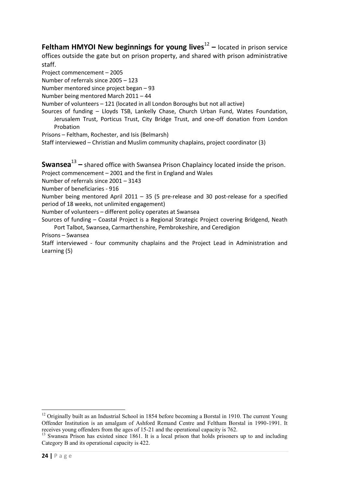**Feltham HMYOI New beginnings for young lives<sup>12</sup> – located in prison service** offices outside the gate but on prison property, and shared with prison administrative staff.

Project commencement – 2005

Number of referrals since 2005 – 123

Number mentored since project began – 93

Number being mentored March 2011 – 44

Number of volunteers – 121 (located in all London Boroughs but not all active)

Sources of funding – Lloyds TSB, Lankelly Chase, Church Urban Fund, Wates Foundation, Jerusalem Trust, Porticus Trust, City Bridge Trust, and one-off donation from London Probation

Prisons – Feltham, Rochester, and Isis (Belmarsh)

Staff interviewed – Christian and Muslim community chaplains, project coordinator (3)

**Swansea**<sup>13</sup> – shared office with Swansea Prison Chaplaincy located inside the prison.

Project commencement – 2001 and the first in England and Wales

Number of referrals since 2001 – 3143

Number of beneficiaries - 916

Number being mentored April 2011 – 35 (5 pre-release and 30 post-release for a specified period of 18 weeks, not unlimited engagement)

Number of volunteers – different policy operates at Swansea

Sources of funding – Coastal Project is a Regional Strategic Project covering Bridgend, Neath Port Talbot, Swansea, Carmarthenshire, Pembrokeshire, and Ceredigion

Prisons – Swansea

Staff interviewed - four community chaplains and the Project Lead in Administration and Learning (5)

**<sup>.</sup>**  $12$  Originally built as an Industrial School in 1854 before becoming a Borstal in 1910. The current Young Offender Institution is an amalgam of Ashford Remand Centre and Feltham Borstal in 1990-1991. It receives young offenders from the ages of 15-21 and the operational capacity is 762.

<sup>&</sup>lt;sup>13</sup> Swansea Prison has existed since 1861. It is a local prison that holds prisoners up to and including Category B and its operational capacity is 422.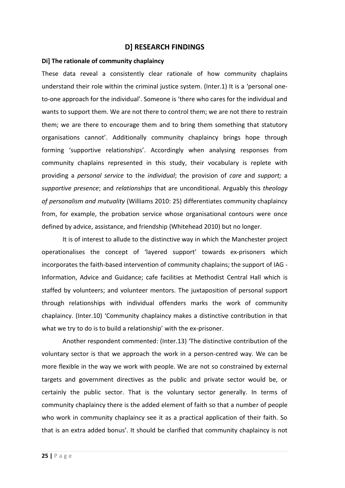## **D] RESEARCH FINDINGS**

#### **Di] The rationale of community chaplaincy**

These data reveal a consistently clear rationale of how community chaplains understand their role within the criminal justice system. (Inter.1) It is a 'personal oneto-one approach for the individual'. Someone is 'there who cares for the individual and wants to support them. We are not there to control them; we are not there to restrain them; we are there to encourage them and to bring them something that statutory organisations cannot'. Additionally community chaplaincy brings hope through forming 'supportive relationships'. Accordingly when analysing responses from community chaplains represented in this study, their vocabulary is replete with providing a *personal service* to the *individual*; the provision of *care* and *support;* a *supportive presence*; and *relationships* that are unconditional. Arguably this *theology of personalism and mutuality* (Williams 2010: 25) differentiates community chaplaincy from, for example, the probation service whose organisational contours were once defined by advice, assistance, and friendship (Whitehead 2010) but no longer.

It is of interest to allude to the distinctive way in which the Manchester project operationalises the concept of 'layered support' towards ex-prisoners which incorporates the faith-based intervention of community chaplains; the support of IAG - Information, Advice and Guidance; cafe facilities at Methodist Central Hall which is staffed by volunteers; and volunteer mentors. The juxtaposition of personal support through relationships with individual offenders marks the work of community chaplaincy. (Inter.10) 'Community chaplaincy makes a distinctive contribution in that what we try to do is to build a relationship' with the ex-prisoner.

Another respondent commented: (Inter.13) 'The distinctive contribution of the voluntary sector is that we approach the work in a person-centred way. We can be more flexible in the way we work with people. We are not so constrained by external targets and government directives as the public and private sector would be, or certainly the public sector. That is the voluntary sector generally. In terms of community chaplaincy there is the added element of faith so that a number of people who work in community chaplaincy see it as a practical application of their faith. So that is an extra added bonus'. It should be clarified that community chaplaincy is not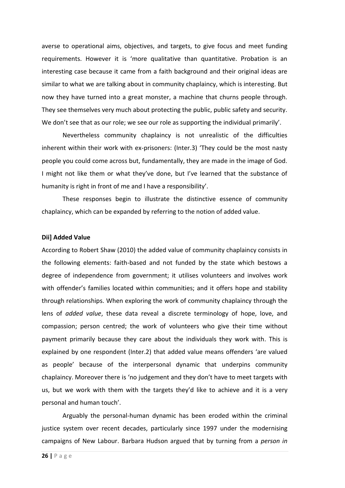averse to operational aims, objectives, and targets, to give focus and meet funding requirements. However it is 'more qualitative than quantitative. Probation is an interesting case because it came from a faith background and their original ideas are similar to what we are talking about in community chaplaincy, which is interesting. But now they have turned into a great monster, a machine that churns people through. They see themselves very much about protecting the public, public safety and security. We don't see that as our role; we see our role as supporting the individual primarily'.

Nevertheless community chaplaincy is not unrealistic of the difficulties inherent within their work with ex-prisoners: (Inter.3) 'They could be the most nasty people you could come across but, fundamentally, they are made in the image of God. I might not like them or what they've done, but I've learned that the substance of humanity is right in front of me and I have a responsibility'.

These responses begin to illustrate the distinctive essence of community chaplaincy, which can be expanded by referring to the notion of added value.

#### **Dii] Added Value**

According to Robert Shaw (2010) the added value of community chaplaincy consists in the following elements: faith-based and not funded by the state which bestows a degree of independence from government; it utilises volunteers and involves work with offender's families located within communities; and it offers hope and stability through relationships. When exploring the work of community chaplaincy through the lens of *added value*, these data reveal a discrete terminology of hope, love, and compassion; person centred; the work of volunteers who give their time without payment primarily because they care about the individuals they work with. This is explained by one respondent (Inter.2) that added value means offenders 'are valued as people' because of the interpersonal dynamic that underpins community chaplaincy. Moreover there is 'no judgement and they don't have to meet targets with us, but we work with them with the targets they'd like to achieve and it is a very personal and human touch'.

Arguably the personal-human dynamic has been eroded within the criminal justice system over recent decades, particularly since 1997 under the modernising campaigns of New Labour. Barbara Hudson argued that by turning from a *person in*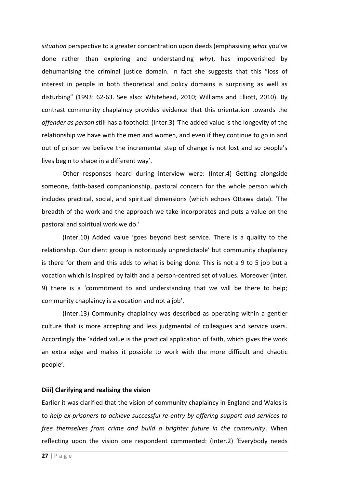*situation* perspective to a greater concentration upon deeds (emphasising *what* you've done rather than exploring and understanding *why*), has impoverished by dehumanising the criminal justice domain. In fact she suggests that this "loss of interest in people in both theoretical and policy domains is surprising as well as disturbing" (1993: 62-63. See also: Whitehead, 2010; Williams and Elliott, 2010). By contrast community chaplaincy provides evidence that this orientation towards the *offender as person* still has a foothold: (Inter.3) 'The added value is the longevity of the relationship we have with the men and women, and even if they continue to go in and out of prison we believe the incremental step of change is not lost and so people's lives begin to shape in a different way'.

Other responses heard during interview were: (Inter.4) Getting alongside someone, faith-based companionship, pastoral concern for the whole person which includes practical, social, and spiritual dimensions (which echoes Ottawa data). 'The breadth of the work and the approach we take incorporates and puts a value on the pastoral and spiritual work we do.'

(Inter.10) Added value 'goes beyond best service. There is a quality to the relationship. Our client group is notoriously unpredictable' but community chaplaincy is there for them and this adds to what is being done. This is not a 9 to 5 job but a vocation which is inspired by faith and a person-centred set of values. Moreover (Inter. 9) there is a 'commitment to and understanding that we will be there to help; community chaplaincy is a vocation and not a job'.

(Inter.13) Community chaplaincy was described as operating within a gentler culture that is more accepting and less judgmental of colleagues and service users. Accordingly the 'added value is the practical application of faith, which gives the work an extra edge and makes it possible to work with the more difficult and chaotic people'.

## **Diii] Clarifying and realising the vision**

Earlier it was clarified that the vision of community chaplaincy in England and Wales is to *help ex-prisoners to achieve successful re-entry by offering support and services to free themselves from crime and build a brighter future in the community*. When reflecting upon the vision one respondent commented: (Inter.2) 'Everybody needs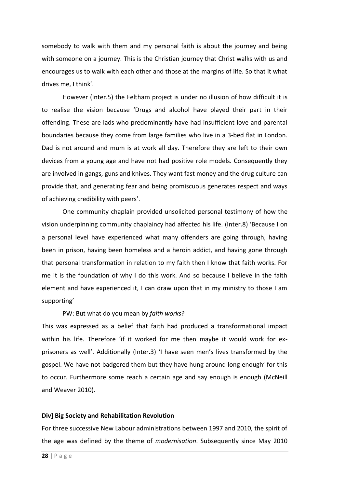somebody to walk with them and my personal faith is about the journey and being with someone on a journey. This is the Christian journey that Christ walks with us and encourages us to walk with each other and those at the margins of life. So that it what drives me, I think'.

However (Inter.5) the Feltham project is under no illusion of how difficult it is to realise the vision because 'Drugs and alcohol have played their part in their offending. These are lads who predominantly have had insufficient love and parental boundaries because they come from large families who live in a 3-bed flat in London. Dad is not around and mum is at work all day. Therefore they are left to their own devices from a young age and have not had positive role models. Consequently they are involved in gangs, guns and knives. They want fast money and the drug culture can provide that, and generating fear and being promiscuous generates respect and ways of achieving credibility with peers'.

One community chaplain provided unsolicited personal testimony of how the vision underpinning community chaplaincy had affected his life. (Inter.8) 'Because I on a personal level have experienced what many offenders are going through, having been in prison, having been homeless and a heroin addict, and having gone through that personal transformation in relation to my faith then I know that faith works. For me it is the foundation of why I do this work. And so because I believe in the faith element and have experienced it, I can draw upon that in my ministry to those I am supporting'

PW: But what do you mean by *faith works*?

This was expressed as a belief that faith had produced a transformational impact within his life. Therefore 'if it worked for me then maybe it would work for exprisoners as well'. Additionally (Inter.3) 'I have seen men's lives transformed by the gospel. We have not badgered them but they have hung around long enough' for this to occur. Furthermore some reach a certain age and say enough is enough (McNeill and Weaver 2010).

## **Div] Big Society and Rehabilitation Revolution**

For three successive New Labour administrations between 1997 and 2010, the spirit of the age was defined by the theme of *modernisation*. Subsequently since May 2010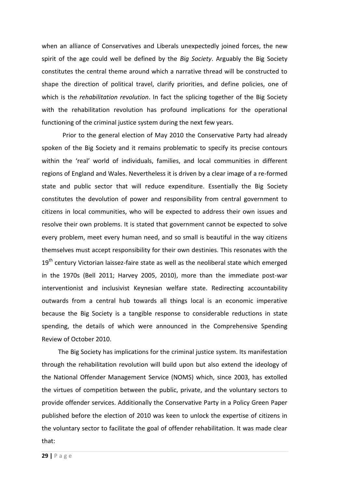when an alliance of Conservatives and Liberals unexpectedly joined forces, the new spirit of the age could well be defined by the *Big Society*. Arguably the Big Society constitutes the central theme around which a narrative thread will be constructed to shape the direction of political travel, clarify priorities, and define policies, one of which is the *rehabilitation revolution*. In fact the splicing together of the Big Society with the rehabilitation revolution has profound implications for the operational functioning of the criminal justice system during the next few years.

Prior to the general election of May 2010 the Conservative Party had already spoken of the Big Society and it remains problematic to specify its precise contours within the 'real' world of individuals, families, and local communities in different regions of England and Wales. Nevertheless it is driven by a clear image of a re-formed state and public sector that will reduce expenditure. Essentially the Big Society constitutes the devolution of power and responsibility from central government to citizens in local communities, who will be expected to address their own issues and resolve their own problems. It is stated that government cannot be expected to solve every problem, meet every human need, and so small is beautiful in the way citizens themselves must accept responsibility for their own destinies. This resonates with the 19<sup>th</sup> century Victorian laissez-faire state as well as the neoliberal state which emerged in the 1970s (Bell 2011; Harvey 2005, 2010), more than the immediate post-war interventionist and inclusivist Keynesian welfare state. Redirecting accountability outwards from a central hub towards all things local is an economic imperative because the Big Society is a tangible response to considerable reductions in state spending, the details of which were announced in the Comprehensive Spending Review of October 2010.

The Big Society has implications for the criminal justice system. Its manifestation through the rehabilitation revolution will build upon but also extend the ideology of the National Offender Management Service (NOMS) which, since 2003, has extolled the virtues of competition between the public, private, and the voluntary sectors to provide offender services. Additionally the Conservative Party in a Policy Green Paper published before the election of 2010 was keen to unlock the expertise of citizens in the voluntary sector to facilitate the goal of offender rehabilitation. It was made clear that: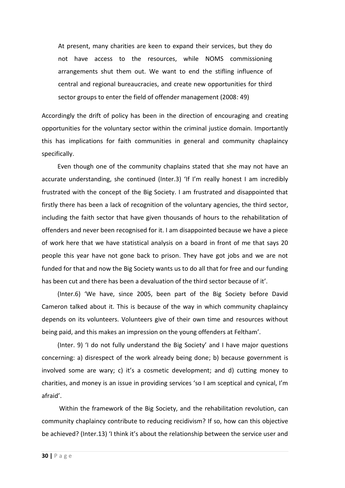At present, many charities are keen to expand their services, but they do not have access to the resources, while NOMS commissioning arrangements shut them out. We want to end the stifling influence of central and regional bureaucracies, and create new opportunities for third sector groups to enter the field of offender management (2008: 49)

Accordingly the drift of policy has been in the direction of encouraging and creating opportunities for the voluntary sector within the criminal justice domain. Importantly this has implications for faith communities in general and community chaplaincy specifically.

 Even though one of the community chaplains stated that she may not have an accurate understanding, she continued (Inter.3) 'If I'm really honest I am incredibly frustrated with the concept of the Big Society. I am frustrated and disappointed that firstly there has been a lack of recognition of the voluntary agencies, the third sector, including the faith sector that have given thousands of hours to the rehabilitation of offenders and never been recognised for it. I am disappointed because we have a piece of work here that we have statistical analysis on a board in front of me that says 20 people this year have not gone back to prison. They have got jobs and we are not funded for that and now the Big Society wants us to do all that for free and our funding has been cut and there has been a devaluation of the third sector because of it'.

 (Inter.6) 'We have, since 2005, been part of the Big Society before David Cameron talked about it. This is because of the way in which community chaplaincy depends on its volunteers. Volunteers give of their own time and resources without being paid, and this makes an impression on the young offenders at Feltham'.

 (Inter. 9) 'I do not fully understand the Big Society' and I have major questions concerning: a) disrespect of the work already being done; b) because government is involved some are wary; c) it's a cosmetic development; and d) cutting money to charities, and money is an issue in providing services 'so I am sceptical and cynical, I'm afraid'.

 Within the framework of the Big Society, and the rehabilitation revolution, can community chaplaincy contribute to reducing recidivism? If so, how can this objective be achieved? (Inter.13) 'I think it's about the relationship between the service user and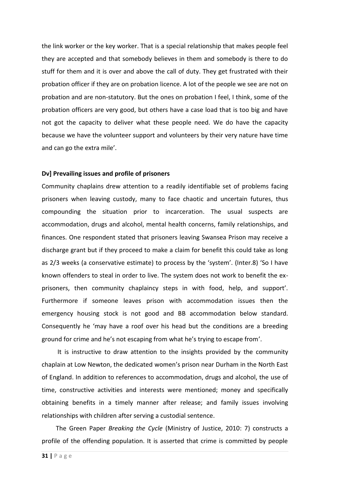the link worker or the key worker. That is a special relationship that makes people feel they are accepted and that somebody believes in them and somebody is there to do stuff for them and it is over and above the call of duty. They get frustrated with their probation officer if they are on probation licence. A lot of the people we see are not on probation and are non-statutory. But the ones on probation I feel, I think, some of the probation officers are very good, but others have a case load that is too big and have not got the capacity to deliver what these people need. We do have the capacity because we have the volunteer support and volunteers by their very nature have time and can go the extra mile'.

#### **Dv] Prevailing issues and profile of prisoners**

Community chaplains drew attention to a readily identifiable set of problems facing prisoners when leaving custody, many to face chaotic and uncertain futures, thus compounding the situation prior to incarceration. The usual suspects are accommodation, drugs and alcohol, mental health concerns, family relationships, and finances. One respondent stated that prisoners leaving Swansea Prison may receive a discharge grant but if they proceed to make a claim for benefit this could take as long as 2/3 weeks (a conservative estimate) to process by the 'system'. (Inter.8) 'So I have known offenders to steal in order to live. The system does not work to benefit the exprisoners, then community chaplaincy steps in with food, help, and support'. Furthermore if someone leaves prison with accommodation issues then the emergency housing stock is not good and BB accommodation below standard. Consequently he 'may have a roof over his head but the conditions are a breeding ground for crime and he's not escaping from what he's trying to escape from'.

 It is instructive to draw attention to the insights provided by the community chaplain at Low Newton, the dedicated women's prison near Durham in the North East of England. In addition to references to accommodation, drugs and alcohol, the use of time, constructive activities and interests were mentioned; money and specifically obtaining benefits in a timely manner after release; and family issues involving relationships with children after serving a custodial sentence.

 The Green Paper *Breaking the Cycle* (Ministry of Justice, 2010: 7) constructs a profile of the offending population. It is asserted that crime is committed by people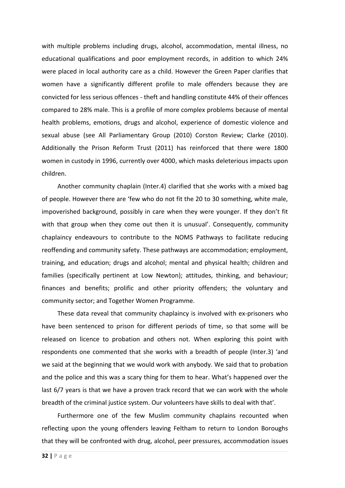with multiple problems including drugs, alcohol, accommodation, mental illness, no educational qualifications and poor employment records, in addition to which 24% were placed in local authority care as a child. However the Green Paper clarifies that women have a significantly different profile to male offenders because they are convicted for less serious offences - theft and handling constitute 44% of their offences compared to 28% male. This is a profile of more complex problems because of mental health problems, emotions, drugs and alcohol, experience of domestic violence and sexual abuse (see All Parliamentary Group (2010) Corston Review; Clarke (2010). Additionally the Prison Reform Trust (2011) has reinforced that there were 1800 women in custody in 1996, currently over 4000, which masks deleterious impacts upon children.

 Another community chaplain (Inter.4) clarified that she works with a mixed bag of people. However there are 'few who do not fit the 20 to 30 something, white male, impoverished background, possibly in care when they were younger. If they don't fit with that group when they come out then it is unusual'. Consequently, community chaplaincy endeavours to contribute to the NOMS Pathways to facilitate reducing reoffending and community safety. These pathways are accommodation; employment, training, and education; drugs and alcohol; mental and physical health; children and families (specifically pertinent at Low Newton); attitudes, thinking, and behaviour; finances and benefits; prolific and other priority offenders; the voluntary and community sector; and Together Women Programme.

 These data reveal that community chaplaincy is involved with ex-prisoners who have been sentenced to prison for different periods of time, so that some will be released on licence to probation and others not. When exploring this point with respondents one commented that she works with a breadth of people (Inter.3) 'and we said at the beginning that we would work with anybody. We said that to probation and the police and this was a scary thing for them to hear. What's happened over the last 6/7 years is that we have a proven track record that we can work with the whole breadth of the criminal justice system. Our volunteers have skills to deal with that'.

 Furthermore one of the few Muslim community chaplains recounted when reflecting upon the young offenders leaving Feltham to return to London Boroughs that they will be confronted with drug, alcohol, peer pressures, accommodation issues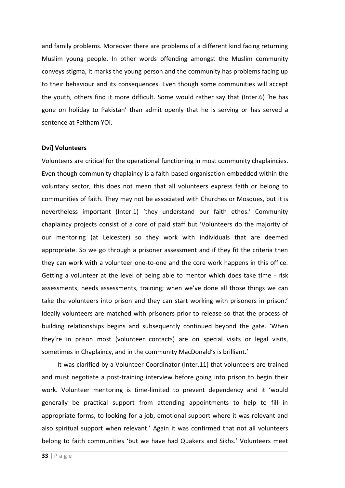and family problems. Moreover there are problems of a different kind facing returning Muslim young people. In other words offending amongst the Muslim community conveys stigma, it marks the young person and the community has problems facing up to their behaviour and its consequences. Even though some communities will accept the youth, others find it more difficult. Some would rather say that (Inter.6) 'he has gone on holiday to Pakistan' than admit openly that he is serving or has served a sentence at Feltham YOI.

#### **Dvi] Volunteers**

Volunteers are critical for the operational functioning in most community chaplaincies. Even though community chaplaincy is a faith-based organisation embedded within the voluntary sector, this does not mean that all volunteers express faith or belong to communities of faith. They may not be associated with Churches or Mosques, but it is nevertheless important (Inter.1) 'they understand our faith ethos.' Community chaplaincy projects consist of a core of paid staff but 'Volunteers do the majority of our mentoring (at Leicester) so they work with individuals that are deemed appropriate. So we go through a prisoner assessment and if they fit the criteria then they can work with a volunteer one-to-one and the core work happens in this office. Getting a volunteer at the level of being able to mentor which does take time - risk assessments, needs assessments, training; when we've done all those things we can take the volunteers into prison and they can start working with prisoners in prison.' Ideally volunteers are matched with prisoners prior to release so that the process of building relationships begins and subsequently continued beyond the gate. 'When they're in prison most (volunteer contacts) are on special visits or legal visits, sometimes in Chaplaincy, and in the community MacDonald's is brilliant.'

 It was clarified by a Volunteer Coordinator (Inter.11) that volunteers are trained and must negotiate a post-training interview before going into prison to begin their work. Volunteer mentoring is time-limited to prevent dependency and it 'would generally be practical support from attending appointments to help to fill in appropriate forms, to looking for a job, emotional support where it was relevant and also spiritual support when relevant.' Again it was confirmed that not all volunteers belong to faith communities 'but we have had Quakers and Sikhs.' Volunteers meet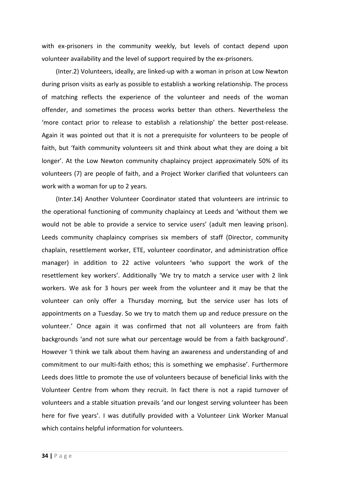with ex-prisoners in the community weekly, but levels of contact depend upon volunteer availability and the level of support required by the ex-prisoners.

 (Inter.2) Volunteers, ideally, are linked-up with a woman in prison at Low Newton during prison visits as early as possible to establish a working relationship. The process of matching reflects the experience of the volunteer and needs of the woman offender, and sometimes the process works better than others. Nevertheless the 'more contact prior to release to establish a relationship' the better post-release. Again it was pointed out that it is not a prerequisite for volunteers to be people of faith, but 'faith community volunteers sit and think about what they are doing a bit longer'. At the Low Newton community chaplaincy project approximately 50% of its volunteers (7) are people of faith, and a Project Worker clarified that volunteers can work with a woman for up to 2 years.

 (Inter.14) Another Volunteer Coordinator stated that volunteers are intrinsic to the operational functioning of community chaplaincy at Leeds and 'without them we would not be able to provide a service to service users' (adult men leaving prison). Leeds community chaplaincy comprises six members of staff (Director, community chaplain, resettlement worker, ETE, volunteer coordinator, and administration office manager) in addition to 22 active volunteers 'who support the work of the resettlement key workers'. Additionally 'We try to match a service user with 2 link workers. We ask for 3 hours per week from the volunteer and it may be that the volunteer can only offer a Thursday morning, but the service user has lots of appointments on a Tuesday. So we try to match them up and reduce pressure on the volunteer.' Once again it was confirmed that not all volunteers are from faith backgrounds 'and not sure what our percentage would be from a faith background'. However 'I think we talk about them having an awareness and understanding of and commitment to our multi-faith ethos; this is something we emphasise'. Furthermore Leeds does little to promote the use of volunteers because of beneficial links with the Volunteer Centre from whom they recruit. In fact there is not a rapid turnover of volunteers and a stable situation prevails 'and our longest serving volunteer has been here for five years'. I was dutifully provided with a Volunteer Link Worker Manual which contains helpful information for volunteers.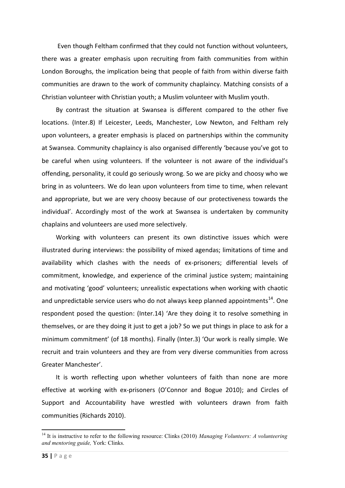Even though Feltham confirmed that they could not function without volunteers, there was a greater emphasis upon recruiting from faith communities from within London Boroughs, the implication being that people of faith from within diverse faith communities are drawn to the work of community chaplaincy. Matching consists of a Christian volunteer with Christian youth; a Muslim volunteer with Muslim youth.

 By contrast the situation at Swansea is different compared to the other five locations. (Inter.8) If Leicester, Leeds, Manchester, Low Newton, and Feltham rely upon volunteers, a greater emphasis is placed on partnerships within the community at Swansea. Community chaplaincy is also organised differently 'because you've got to be careful when using volunteers. If the volunteer is not aware of the individual's offending, personality, it could go seriously wrong. So we are picky and choosy who we bring in as volunteers. We do lean upon volunteers from time to time, when relevant and appropriate, but we are very choosy because of our protectiveness towards the individual'. Accordingly most of the work at Swansea is undertaken by community chaplains and volunteers are used more selectively.

 Working with volunteers can present its own distinctive issues which were illustrated during interviews: the possibility of mixed agendas; limitations of time and availability which clashes with the needs of ex-prisoners; differential levels of commitment, knowledge, and experience of the criminal justice system; maintaining and motivating 'good' volunteers; unrealistic expectations when working with chaotic and unpredictable service users who do not always keep planned appointments<sup>14</sup>. One respondent posed the question: (Inter.14) 'Are they doing it to resolve something in themselves, or are they doing it just to get a job? So we put things in place to ask for a minimum commitment' (of 18 months). Finally (Inter.3) 'Our work is really simple. We recruit and train volunteers and they are from very diverse communities from across Greater Manchester'.

 It is worth reflecting upon whether volunteers of faith than none are more effective at working with ex-prisoners (O'Connor and Bogue 2010); and Circles of Support and Accountability have wrestled with volunteers drawn from faith communities (Richards 2010).

**.** 

<sup>14</sup> It is instructive to refer to the following resource: Clinks (2010) *Managing Volunteers: A volunteering and mentoring guide,* York: Clinks.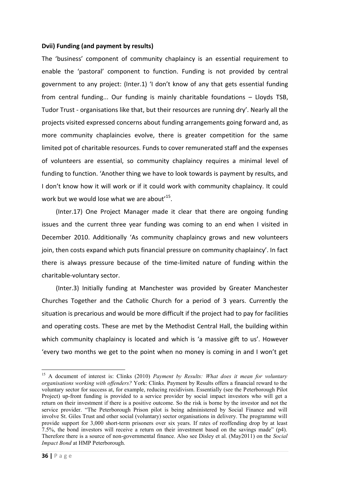## **Dvii) Funding (and payment by results)**

The 'business' component of community chaplaincy is an essential requirement to enable the 'pastoral' component to function. Funding is not provided by central government to any project: (Inter.1) 'I don't know of any that gets essential funding from central funding... Our funding is mainly charitable foundations – Lloyds TSB, Tudor Trust - organisations like that, but their resources are running dry'. Nearly all the projects visited expressed concerns about funding arrangements going forward and, as more community chaplaincies evolve, there is greater competition for the same limited pot of charitable resources. Funds to cover remunerated staff and the expenses of volunteers are essential, so community chaplaincy requires a minimal level of funding to function. 'Another thing we have to look towards is payment by results, and I don't know how it will work or if it could work with community chaplaincy. It could work but we would lose what we are about<sup> $15$ </sup>.

 (Inter.17) One Project Manager made it clear that there are ongoing funding issues and the current three year funding was coming to an end when I visited in December 2010. Additionally 'As community chaplaincy grows and new volunteers join, then costs expand which puts financial pressure on community chaplaincy'. In fact there is always pressure because of the time-limited nature of funding within the charitable-voluntary sector.

 (Inter.3) Initially funding at Manchester was provided by Greater Manchester Churches Together and the Catholic Church for a period of 3 years. Currently the situation is precarious and would be more difficult if the project had to pay for facilities and operating costs. These are met by the Methodist Central Hall, the building within which community chaplaincy is located and which is 'a massive gift to us'. However 'every two months we get to the point when no money is coming in and I won't get

**.** 

<sup>15</sup> A document of interest is: Clinks (2010) *Payment by Results: What does it mean for voluntary organisations working with offenders?* York: Clinks. Payment by Results offers a financial reward to the voluntary sector for success at, for example, reducing recidivism. Essentially (see the Peterborough Pilot Project) up-front funding is provided to a service provider by social impact investors who will get a return on their investment if there is a positive outcome. So the risk is borne by the investor and not the service provider. "The Peterborough Prison pilot is being administered by Social Finance and will involve St. Giles Trust and other social (voluntary) sector organisations in delivery. The programme will provide support for 3,000 short-term prisoners over six years. If rates of reoffending drop by at least 7.5%, the bond investors will receive a return on their investment based on the savings made" (p4). Therefore there is a source of non-governmental finance. Also see Disley et al. (May2011) on the *Social Impact Bond* at HMP Peterborough.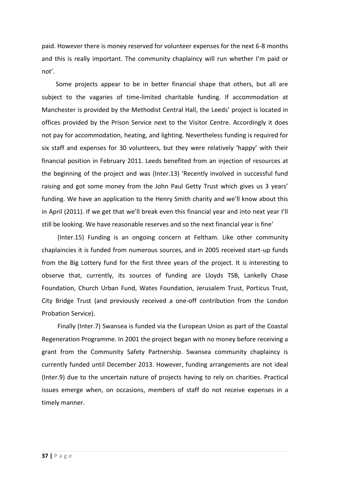paid. However there is money reserved for volunteer expenses for the next 6-8 months and this is really important. The community chaplaincy will run whether I'm paid or not'.

 Some projects appear to be in better financial shape that others, but all are subject to the vagaries of time-limited charitable funding. If accommodation at Manchester is provided by the Methodist Central Hall, the Leeds' project is located in offices provided by the Prison Service next to the Visitor Centre. Accordingly it does not pay for accommodation, heating, and lighting. Nevertheless funding is required for six staff and expenses for 30 volunteers, but they were relatively 'happy' with their financial position in February 2011. Leeds benefited from an injection of resources at the beginning of the project and was (Inter.13) 'Recently involved in successful fund raising and got some money from the John Paul Getty Trust which gives us 3 years' funding. We have an application to the Henry Smith charity and we'll know about this in April (2011). If we get that we'll break even this financial year and into next year I'll still be looking. We have reasonable reserves and so the next financial year is fine'

 (Inter.15) Funding is an ongoing concern at Feltham. Like other community chaplaincies it is funded from numerous sources, and in 2005 received start-up funds from the Big Lottery fund for the first three years of the project. It is interesting to observe that, currently, its sources of funding are Lloyds TSB, Lankelly Chase Foundation, Church Urban Fund, Wates Foundation, Jerusalem Trust, Porticus Trust, City Bridge Trust (and previously received a one-off contribution from the London Probation Service).

 Finally (Inter.7) Swansea is funded via the European Union as part of the Coastal Regeneration Programme. In 2001 the project began with no money before receiving a grant from the Community Safety Partnership. Swansea community chaplaincy is currently funded until December 2013. However, funding arrangements are not ideal (Inter.9) due to the uncertain nature of projects having to rely on charities. Practical issues emerge when, on occasions, members of staff do not receive expenses in a timely manner.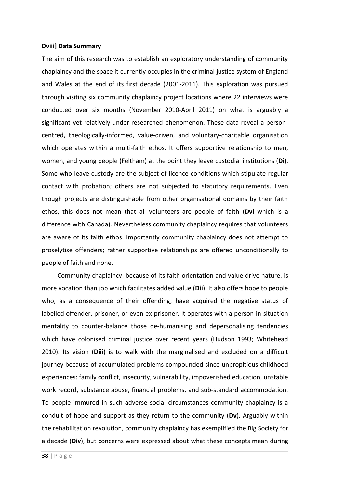#### **Dviii] Data Summary**

The aim of this research was to establish an exploratory understanding of community chaplaincy and the space it currently occupies in the criminal justice system of England and Wales at the end of its first decade (2001-2011). This exploration was pursued through visiting six community chaplaincy project locations where 22 interviews were conducted over six months (November 2010-April 2011) on what is arguably a significant yet relatively under-researched phenomenon. These data reveal a personcentred, theologically-informed, value-driven, and voluntary-charitable organisation which operates within a multi-faith ethos. It offers supportive relationship to men, women, and young people (Feltham) at the point they leave custodial institutions (**Di**). Some who leave custody are the subject of licence conditions which stipulate regular contact with probation; others are not subjected to statutory requirements. Even though projects are distinguishable from other organisational domains by their faith ethos, this does not mean that all volunteers are people of faith (**Dvi** which is a difference with Canada). Nevertheless community chaplaincy requires that volunteers are aware of its faith ethos. Importantly community chaplaincy does not attempt to proselytise offenders; rather supportive relationships are offered unconditionally to people of faith and none.

 Community chaplaincy, because of its faith orientation and value-drive nature, is more vocation than job which facilitates added value (**Dii**). It also offers hope to people who, as a consequence of their offending, have acquired the negative status of labelled offender, prisoner, or even ex-prisoner. It operates with a person-in-situation mentality to counter-balance those de-humanising and depersonalising tendencies which have colonised criminal justice over recent years (Hudson 1993; Whitehead 2010). Its vision (**Diii**) is to walk with the marginalised and excluded on a difficult journey because of accumulated problems compounded since unpropitious childhood experiences: family conflict, insecurity, vulnerability, impoverished education, unstable work record, substance abuse, financial problems, and sub-standard accommodation. To people immured in such adverse social circumstances community chaplaincy is a conduit of hope and support as they return to the community (**Dv**). Arguably within the rehabilitation revolution, community chaplaincy has exemplified the Big Society for a decade (**Div**), but concerns were expressed about what these concepts mean during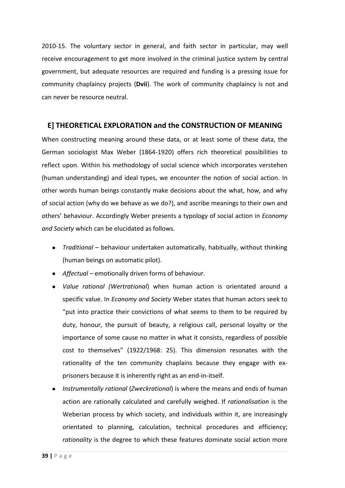2010-15. The voluntary sector in general, and faith sector in particular, may well receive encouragement to get more involved in the criminal justice system by central government, but adequate resources are required and funding is a pressing issue for community chaplaincy projects (**Dvii**). The work of community chaplaincy is not and can never be resource neutral.

## **E] THEORETICAL EXPLORATION and the CONSTRUCTION OF MEANING**

When constructing meaning around these data, or at least some of these data, the German sociologist Max Weber (1864-1920) offers rich theoretical possibilities to reflect upon. Within his methodology of social science which incorporates verstehen (human understanding) and ideal types, we encounter the notion of social action. In other words human beings constantly make decisions about the what, how, and why of social action (why do we behave as we do?), and ascribe meanings to their own and others' behaviour. Accordingly Weber presents a typology of social action in *Economy and Society* which can be elucidated as follows.

- *Traditional* behaviour undertaken automatically, habitually, without thinking (human beings on automatic pilot).
- **•** Affectual emotionally driven forms of behaviour.
- *Value rational (Wertrational*) when human action is orientated around a specific value. In *Economy and Society* Weber states that human actors seek to "put into practice their convictions of what seems to them to be required by duty, honour, the pursuit of beauty, a religious call, personal loyalty or the importance of some cause no matter in what it consists, regardless of possible cost to themselves" (1922/1968: 25). This dimension resonates with the rationality of the ten community chaplains because they engage with exprisoners because it is inherently right as an end-in-itself.
- *Instrumentally rational* (*Zweckrational*) is where the means and ends of human action are rationally calculated and carefully weighed. If *rationalisation* is the Weberian process by which society, and individuals within it, are increasingly orientated to planning, calculation, technical procedures and efficiency; *rationality* is the degree to which these features dominate social action more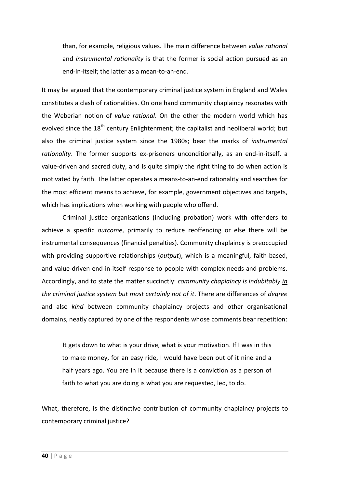than, for example, religious values. The main difference between *value rational* and *instrumental rationality* is that the former is social action pursued as an end-in-itself; the latter as a mean-to-an-end.

It may be argued that the contemporary criminal justice system in England and Wales constitutes a clash of rationalities. On one hand community chaplaincy resonates with the Weberian notion of *value rational*. On the other the modern world which has evolved since the 18<sup>th</sup> century Enlightenment; the capitalist and neoliberal world; but also the criminal justice system since the 1980s; bear the marks of *instrumental rationality*. The former supports ex-prisoners unconditionally, as an end-in-itself, a value-driven and sacred duty, and is quite simply the right thing to do when action is motivated by faith. The latter operates a means-to-an-end rationality and searches for the most efficient means to achieve, for example, government objectives and targets, which has implications when working with people who offend.

Criminal justice organisations (including probation) work with offenders to achieve a specific *outcome*, primarily to reduce reoffending or else there will be instrumental consequences (financial penalties). Community chaplaincy is preoccupied with providing supportive relationships (*output*), which is a meaningful, faith-based, and value-driven end-in-itself response to people with complex needs and problems. Accordingly, and to state the matter succinctly: *community chaplaincy is indubitably in the criminal justice system but most certainly not of it*. There are differences of *degree* and also *kind* between community chaplaincy projects and other organisational domains, neatly captured by one of the respondents whose comments bear repetition:

It gets down to what is your drive, what is your motivation. If I was in this to make money, for an easy ride, I would have been out of it nine and a half years ago. You are in it because there is a conviction as a person of faith to what you are doing is what you are requested, led, to do.

What, therefore, is the distinctive contribution of community chaplaincy projects to contemporary criminal justice?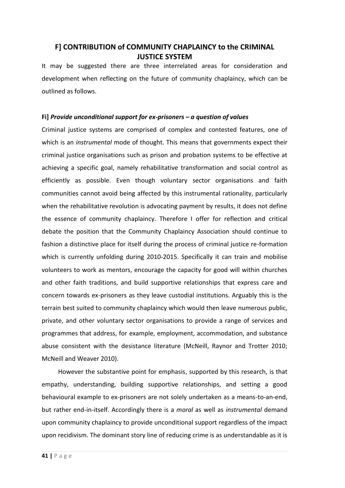# **F] CONTRIBUTION of COMMUNITY CHAPLAINCY to the CRIMINAL JUSTICE SYSTEM**

It may be suggested there are three interrelated areas for consideration and development when reflecting on the future of community chaplaincy, which can be outlined as follows.

## **Fi]** *Provide unconditional support for ex-prisoners – a question of values*

Criminal justice systems are comprised of complex and contested features, one of which is an *instrumental* mode of thought. This means that governments expect their criminal justice organisations such as prison and probation systems to be effective at achieving a specific goal, namely rehabilitative transformation and social control as efficiently as possible. Even though voluntary sector organisations and faith communities cannot avoid being affected by this instrumental rationality, particularly when the rehabilitative revolution is advocating payment by results, it does not define the essence of community chaplaincy. Therefore I offer for reflection and critical debate the position that the Community Chaplaincy Association should continue to fashion a distinctive place for itself during the process of criminal justice re-formation which is currently unfolding during 2010-2015. Specifically it can train and mobilise volunteers to work as mentors, encourage the capacity for good will within churches and other faith traditions, and build supportive relationships that express care and concern towards ex-prisoners as they leave custodial institutions. Arguably this is the terrain best suited to community chaplaincy which would then leave numerous public, private, and other voluntary sector organisations to provide a range of services and programmes that address, for example, employment, accommodation, and substance abuse consistent with the desistance literature (McNeill, Raynor and Trotter 2010; McNeill and Weaver 2010).

However the substantive point for emphasis, supported by this research, is that empathy, understanding, building supportive relationships, and setting a good behavioural example to ex-prisoners are not solely undertaken as a means-to-an-end, but rather end-in-itself. Accordingly there is a *moral* as well as *instrumental* demand upon community chaplaincy to provide unconditional support regardless of the impact upon recidivism. The dominant story line of reducing crime is as understandable as it is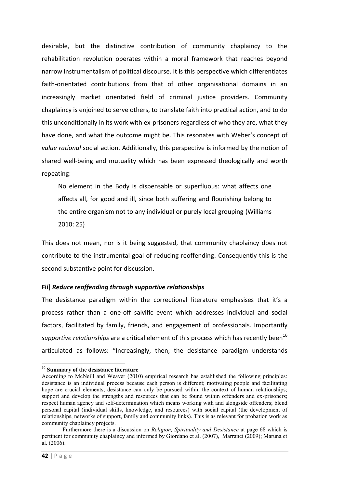desirable, but the distinctive contribution of community chaplaincy to the rehabilitation revolution operates within a moral framework that reaches beyond narrow instrumentalism of political discourse. It is this perspective which differentiates faith-orientated contributions from that of other organisational domains in an increasingly market orientated field of criminal justice providers. Community chaplaincy is enjoined to serve others, to translate faith into practical action, and to do this unconditionally in its work with ex-prisoners regardless of who they are, what they have done, and what the outcome might be. This resonates with Weber's concept of *value rational* social action. Additionally, this perspective is informed by the notion of shared well-being and mutuality which has been expressed theologically and worth repeating:

No element in the Body is dispensable or superfluous: what affects one affects all, for good and ill, since both suffering and flourishing belong to the entire organism not to any individual or purely local grouping (Williams 2010: 25)

This does not mean, nor is it being suggested, that community chaplaincy does not contribute to the instrumental goal of reducing reoffending. Consequently this is the second substantive point for discussion.

#### **Fii]** *Reduce reoffending through supportive relationships*

The desistance paradigm within the correctional literature emphasises that it's a process rather than a one-off salvific event which addresses individual and social factors, facilitated by family, friends, and engagement of professionals. Importantly *supportive relationships* are a critical element of this process which has recently been<sup>16</sup> articulated as follows: "Increasingly, then, the desistance paradigm understands

1

<sup>16</sup> **Summary of the desistance literature**

According to McNeill and Weaver (2010) empirical research has established the following principles: desistance is an individual process because each person is different; motivating people and facilitating hope are crucial elements; desistance can only be pursued within the context of human relationships; support and develop the strengths and resources that can be found within offenders and ex-prisoners; respect human agency and self-determination which means working with and alongside offenders; blend personal capital (individual skills, knowledge, and resources) with social capital (the development of relationships, networks of support, family and community links). This is as relevant for probation work as community chaplaincy projects.

Furthermore there is a discussion on *Religion, Spirituality and Desistance* at page 68 which is pertinent for community chaplaincy and informed by Giordano et al. (2007), Marranci (2009); Maruna et al. (2006).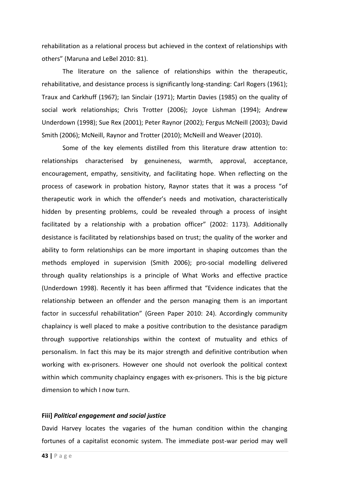rehabilitation as a relational process but achieved in the context of relationships with others" (Maruna and LeBel 2010: 81).

 The literature on the salience of relationships within the therapeutic, rehabilitative, and desistance process is significantly long-standing: Carl Rogers (1961); Traux and Carkhuff (1967); Ian Sinclair (1971); Martin Davies (1985) on the quality of social work relationships; Chris Trotter (2006); Joyce Lishman (1994); Andrew Underdown (1998); Sue Rex (2001); Peter Raynor (2002); Fergus McNeill (2003); David Smith (2006); McNeill, Raynor and Trotter (2010); McNeill and Weaver (2010).

Some of the key elements distilled from this literature draw attention to: relationships characterised by genuineness, warmth, approval, acceptance, encouragement, empathy, sensitivity, and facilitating hope. When reflecting on the process of casework in probation history, Raynor states that it was a process "of therapeutic work in which the offender's needs and motivation, characteristically hidden by presenting problems, could be revealed through a process of insight facilitated by a relationship with a probation officer" (2002: 1173). Additionally desistance is facilitated by relationships based on trust; the quality of the worker and ability to form relationships can be more important in shaping outcomes than the methods employed in supervision (Smith 2006); pro-social modelling delivered through quality relationships is a principle of What Works and effective practice (Underdown 1998). Recently it has been affirmed that "Evidence indicates that the relationship between an offender and the person managing them is an important factor in successful rehabilitation" (Green Paper 2010: 24). Accordingly community chaplaincy is well placed to make a positive contribution to the desistance paradigm through supportive relationships within the context of mutuality and ethics of personalism. In fact this may be its major strength and definitive contribution when working with ex-prisoners. However one should not overlook the political context within which community chaplaincy engages with ex-prisoners. This is the big picture dimension to which I now turn.

## **Fiii]** *Political engagement and social justice*

David Harvey locates the vagaries of the human condition within the changing fortunes of a capitalist economic system. The immediate post-war period may well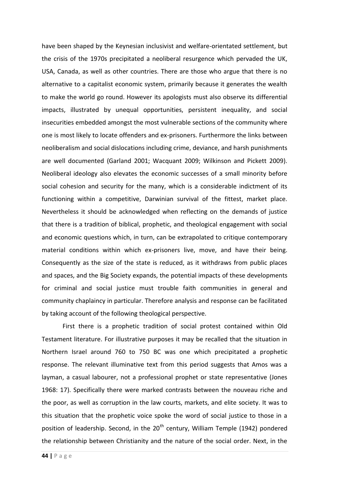have been shaped by the Keynesian inclusivist and welfare-orientated settlement, but the crisis of the 1970s precipitated a neoliberal resurgence which pervaded the UK, USA, Canada, as well as other countries. There are those who argue that there is no alternative to a capitalist economic system, primarily because it generates the wealth to make the world go round. However its apologists must also observe its differential impacts, illustrated by unequal opportunities, persistent inequality, and social insecurities embedded amongst the most vulnerable sections of the community where one is most likely to locate offenders and ex-prisoners. Furthermore the links between neoliberalism and social dislocations including crime, deviance, and harsh punishments are well documented (Garland 2001; Wacquant 2009; Wilkinson and Pickett 2009). Neoliberal ideology also elevates the economic successes of a small minority before social cohesion and security for the many, which is a considerable indictment of its functioning within a competitive, Darwinian survival of the fittest, market place. Nevertheless it should be acknowledged when reflecting on the demands of justice that there is a tradition of biblical, prophetic, and theological engagement with social and economic questions which, in turn, can be extrapolated to critique contemporary material conditions within which ex-prisoners live, move, and have their being. Consequently as the size of the state is reduced, as it withdraws from public places and spaces, and the Big Society expands, the potential impacts of these developments for criminal and social justice must trouble faith communities in general and community chaplaincy in particular. Therefore analysis and response can be facilitated by taking account of the following theological perspective.

First there is a prophetic tradition of social protest contained within Old Testament literature. For illustrative purposes it may be recalled that the situation in Northern Israel around 760 to 750 BC was one which precipitated a prophetic response. The relevant illuminative text from this period suggests that Amos was a layman, a casual labourer, not a professional prophet or state representative (Jones 1968: 17). Specifically there were marked contrasts between the nouveau riche and the poor, as well as corruption in the law courts, markets, and elite society. It was to this situation that the prophetic voice spoke the word of social justice to those in a position of leadership. Second, in the  $20<sup>th</sup>$  century, William Temple (1942) pondered the relationship between Christianity and the nature of the social order. Next, in the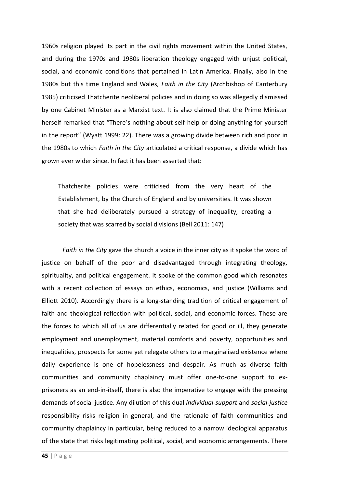1960s religion played its part in the civil rights movement within the United States, and during the 1970s and 1980s liberation theology engaged with unjust political, social, and economic conditions that pertained in Latin America. Finally, also in the 1980s but this time England and Wales, *Faith in the City* (Archbishop of Canterbury 1985) criticised Thatcherite neoliberal policies and in doing so was allegedly dismissed by one Cabinet Minister as a Marxist text. It is also claimed that the Prime Minister herself remarked that "There's nothing about self-help or doing anything for yourself in the report" (Wyatt 1999: 22). There was a growing divide between rich and poor in the 1980s to which *Faith in the City* articulated a critical response, a divide which has grown ever wider since. In fact it has been asserted that:

Thatcherite policies were criticised from the very heart of the Establishment, by the Church of England and by universities. It was shown that she had deliberately pursued a strategy of inequality, creating a society that was scarred by social divisions (Bell 2011: 147)

*Faith in the City* gave the church a voice in the inner city as it spoke the word of justice on behalf of the poor and disadvantaged through integrating theology, spirituality, and political engagement. It spoke of the common good which resonates with a recent collection of essays on ethics, economics, and justice (Williams and Elliott 2010). Accordingly there is a long-standing tradition of critical engagement of faith and theological reflection with political, social, and economic forces. These are the forces to which all of us are differentially related for good or ill, they generate employment and unemployment, material comforts and poverty, opportunities and inequalities, prospects for some yet relegate others to a marginalised existence where daily experience is one of hopelessness and despair. As much as diverse faith communities and community chaplaincy must offer one-to-one support to exprisoners as an end-in-itself, there is also the imperative to engage with the pressing demands of social justice. Any dilution of this dual *individual-support* and *social-justice* responsibility risks religion in general, and the rationale of faith communities and community chaplaincy in particular, being reduced to a narrow ideological apparatus of the state that risks legitimating political, social, and economic arrangements. There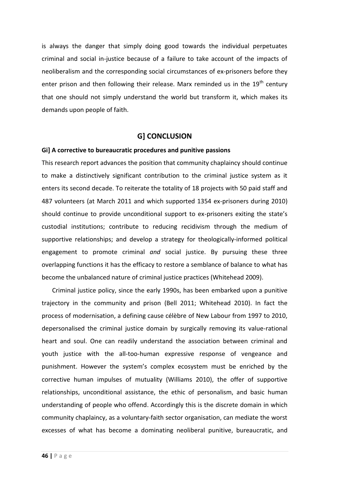is always the danger that simply doing good towards the individual perpetuates criminal and social in-justice because of a failure to take account of the impacts of neoliberalism and the corresponding social circumstances of ex-prisoners before they enter prison and then following their release. Marx reminded us in the  $19<sup>th</sup>$  century that one should not simply understand the world but transform it, which makes its demands upon people of faith.

## **G] CONCLUSION**

#### **Gi] A corrective to bureaucratic procedures and punitive passions**

This research report advances the position that community chaplaincy should continue to make a distinctively significant contribution to the criminal justice system as it enters its second decade. To reiterate the totality of 18 projects with 50 paid staff and 487 volunteers (at March 2011 and which supported 1354 ex-prisoners during 2010) should continue to provide unconditional support to ex-prisoners exiting the state's custodial institutions; contribute to reducing recidivism through the medium of supportive relationships; and develop a strategy for theologically-informed political engagement to promote criminal *and* social justice. By pursuing these three overlapping functions it has the efficacy to restore a semblance of balance to what has become the unbalanced nature of criminal justice practices (Whitehead 2009).

Criminal justice policy, since the early 1990s, has been embarked upon a punitive trajectory in the community and prison (Bell 2011; Whitehead 2010). In fact the process of modernisation, a defining cause célèbre of New Labour from 1997 to 2010, depersonalised the criminal justice domain by surgically removing its value-rational heart and soul. One can readily understand the association between criminal and youth justice with the all-too-human expressive response of vengeance and punishment. However the system's complex ecosystem must be enriched by the corrective human impulses of mutuality (Williams 2010), the offer of supportive relationships, unconditional assistance, the ethic of personalism, and basic human understanding of people who offend. Accordingly this is the discrete domain in which community chaplaincy, as a voluntary-faith sector organisation, can mediate the worst excesses of what has become a dominating neoliberal punitive, bureaucratic, and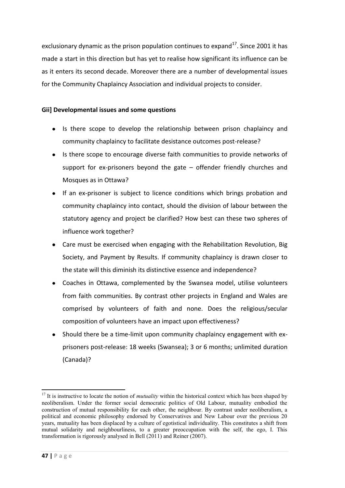exclusionary dynamic as the prison population continues to expand<sup>17</sup>. Since 2001 it has made a start in this direction but has yet to realise how significant its influence can be as it enters its second decade. Moreover there are a number of developmental issues for the Community Chaplaincy Association and individual projects to consider.

## **Gii] Developmental issues and some questions**

- Is there scope to develop the relationship between prison chaplaincy and  $\bullet$ community chaplaincy to facilitate desistance outcomes post-release?
- $\bullet$ Is there scope to encourage diverse faith communities to provide networks of support for ex-prisoners beyond the gate – offender friendly churches and Mosques as in Ottawa?
- If an ex-prisoner is subject to licence conditions which brings probation and community chaplaincy into contact, should the division of labour between the statutory agency and project be clarified? How best can these two spheres of influence work together?
- Care must be exercised when engaging with the Rehabilitation Revolution, Big Society, and Payment by Results. If community chaplaincy is drawn closer to the state will this diminish its distinctive essence and independence?
- Coaches in Ottawa, complemented by the Swansea model, utilise volunteers from faith communities. By contrast other projects in England and Wales are comprised by volunteers of faith and none. Does the religious/secular composition of volunteers have an impact upon effectiveness?
- Should there be a time-limit upon community chaplaincy engagement with exprisoners post-release: 18 weeks (Swansea); 3 or 6 months; unlimited duration (Canada)?

**<sup>.</sup>** <sup>17</sup> It is instructive to locate the notion of *mutuality* within the historical context which has been shaped by neoliberalism. Under the former social democratic politics of Old Labour, mutuality embodied the construction of mutual responsibility for each other, the neighbour. By contrast under neoliberalism, a political and economic philosophy endorsed by Conservatives and New Labour over the previous 20 years, mutuality has been displaced by a culture of egotistical individuality. This constitutes a shift from mutual solidarity and neighbourliness, to a greater preoccupation with the self, the ego, I. This transformation is rigorously analysed in Bell (2011) and Reiner (2007).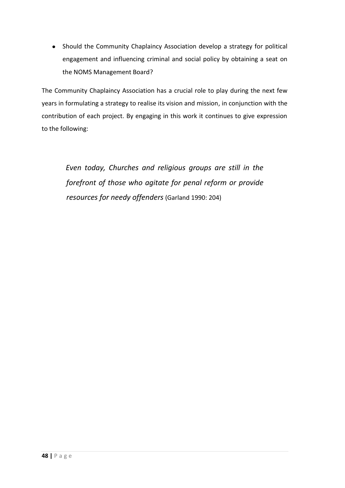Should the Community Chaplaincy Association develop a strategy for political engagement and influencing criminal and social policy by obtaining a seat on the NOMS Management Board?

The Community Chaplaincy Association has a crucial role to play during the next few years in formulating a strategy to realise its vision and mission, in conjunction with the contribution of each project. By engaging in this work it continues to give expression to the following:

 *Even today, Churches and religious groups are still in the forefront of those who agitate for penal reform or provide resources for needy offenders* (Garland 1990: 204)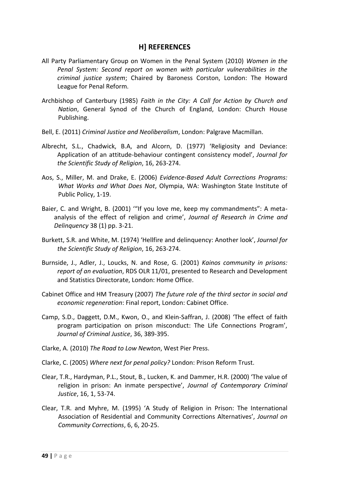# **H] REFERENCES**

- All Party Parliamentary Group on Women in the Penal System (2010) *Women in the Penal System: Second report on women with particular vulnerabilities in the criminal justice system*; Chaired by Baroness Corston, London: The Howard League for Penal Reform.
- Archbishop of Canterbury (1985) *Faith in the City: A Call for Action by Church and Nation*, General Synod of the Church of England, London: Church House Publishing.
- Bell, E. (2011) *Criminal Justice and Neoliberalism*, London: Palgrave Macmillan.
- Albrecht, S.L., Chadwick, B.A, and Alcorn, D. (1977) 'Religiosity and Deviance: Application of an attitude-behaviour contingent consistency model', *Journal for the Scientific Study of Religion*, 16, 263-274.
- Aos, S., Miller, M. and Drake, E. (2006) *Evidence-Based Adult Corrections Programs: What Works and What Does Not*, Olympia, WA: Washington State Institute of Public Policy, 1-19.
- Baier, C. and Wright, B. (2001) '"If you love me, keep my commandments": A metaanalysis of the effect of religion and crime', *Journal of Research in Crime and Delinquency* 38 (1) pp. 3-21.
- Burkett, S.R. and White, M. (1974) 'Hellfire and delinquency: Another look', *Journal for the Scientific Study of Religion*, 16, 263-274.
- Burnside, J., Adler, J., Loucks, N. and Rose, G. (2001) *Kainos community in prisons: report of an evaluation*, RDS OLR 11/01, presented to Research and Development and Statistics Directorate, London: Home Office.
- Cabinet Office and HM Treasury (2007) *The future role of the third sector in social and economic regeneration*: Final report, London: Cabinet Office.
- Camp, S.D., Daggett, D.M., Kwon, O., and Klein-Saffran, J. (2008) 'The effect of faith program participation on prison misconduct: The Life Connections Program', *Journal of Criminal Justice*, 36, 389-395.
- Clarke, A. (2010) *The Road to Low Newton*, West Pier Press.
- Clarke, C. (2005) *Where next for penal policy?* London: Prison Reform Trust.
- Clear, T.R., Hardyman, P.L., Stout, B., Lucken, K. and Dammer, H.R. (2000) 'The value of religion in prison: An inmate perspective', *Journal of Contemporary Criminal Justice*, 16, 1, 53-74.
- Clear, T.R. and Myhre, M. (1995) 'A Study of Religion in Prison: The International Association of Residential and Community Corrections Alternatives', *Journal on Community Corrections*, 6, 6, 20-25.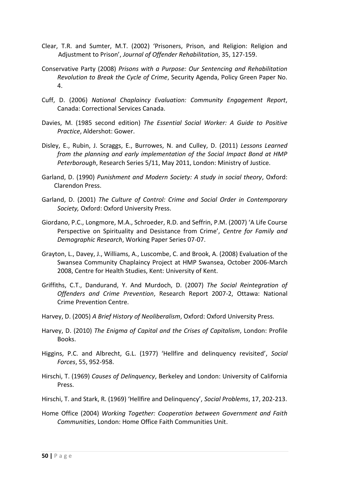- Clear, T.R. and Sumter, M.T. (2002) 'Prisoners, Prison, and Religion: Religion and Adjustment to Prison', *Journal of Offender Rehabilitation*, 35, 127-159.
- Conservative Party (2008) *Prisons with a Purpose: Our Sentencing and Rehabilitation Revolution to Break the Cycle of Crime*, Security Agenda, Policy Green Paper No. 4.
- Cuff, D. (2006) *National Chaplaincy Evaluation: Community Engagement Report*, Canada: Correctional Services Canada.
- Davies, M. (1985 second edition) *The Essential Social Worker: A Guide to Positive Practice*, Aldershot: Gower.
- Disley, E., Rubin, J. Scraggs, E., Burrowes, N. and Culley, D. (2011) *Lessons Learned from the planning and early implementation of the Social Impact Bond at HMP Peterborough*, Research Series 5/11, May 2011, London: Ministry of Justice.
- Garland, D. (1990) *Punishment and Modern Society: A study in social theory*, Oxford: Clarendon Press.
- Garland, D. (2001) *The Culture of Control: Crime and Social Order in Contemporary Society,* Oxford: Oxford University Press.
- Giordano, P.C., Longmore, M.A., Schroeder, R.D. and Seffrin, P.M. (2007) 'A Life Course Perspective on Spirituality and Desistance from Crime', *Centre for Family and Demographic Research*, Working Paper Series 07-07.
- Grayton, L., Davey, J., Williams, A., Luscombe, C. and Brook, A. (2008) Evaluation of the Swansea Community Chaplaincy Project at HMP Swansea, October 2006-March 2008, Centre for Health Studies, Kent: University of Kent.
- Griffiths, C.T., Dandurand, Y. And Murdoch, D. (2007) *The Social Reintegration of Offenders and Crime Prevention*, Research Report 2007-2, Ottawa: National Crime Prevention Centre.
- Harvey, D. (2005) *A Brief History of Neoliberalism*, Oxford: Oxford University Press.
- Harvey, D. (2010) *The Enigma of Capital and the Crises of Capitalism*, London: Profile Books.
- Higgins, P.C. and Albrecht, G.L. (1977) 'Hellfire and delinquency revisited', *Social Forces*, 55, 952-958.
- Hirschi, T. (1969) *Causes of Delinquency*, Berkeley and London: University of California Press.
- Hirschi, T. and Stark, R. (1969) 'Hellfire and Delinquency', *Social Problems*, 17, 202-213.
- Home Office (2004) *Working Together: Cooperation between Government and Faith Communities*, London: Home Office Faith Communities Unit.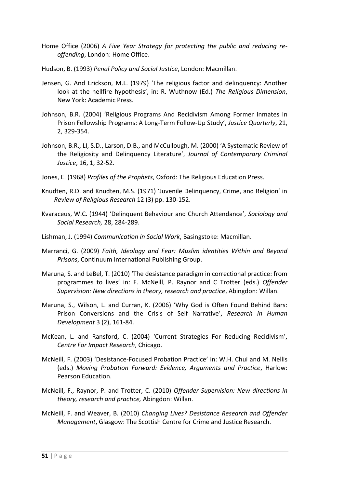- Home Office (2006) *A Five Year Strategy for protecting the public and reducing reoffending*, London: Home Office.
- Hudson, B. (1993) *Penal Policy and Social Justice*, London: Macmillan.
- Jensen, G. And Erickson, M.L. (1979) 'The religious factor and delinquency: Another look at the hellfire hypothesis', in: R. Wuthnow (Ed.) *The Religious Dimension*, New York: Academic Press.
- Johnson, B.R. (2004) 'Religious Programs And Recidivism Among Former Inmates In Prison Fellowship Programs: A Long-Term Follow-Up Study', *Justice Quarterly*, 21, 2, 329-354.
- Johnson, B.R., LI, S.D., Larson, D.B., and McCullough, M. (2000) 'A Systematic Review of the Religiosity and Delinquency Literature', *Journal of Contemporary Criminal Justice*, 16, 1, 32-52.
- Jones, E. (1968) *Profiles of the Prophets*, Oxford: The Religious Education Press.
- Knudten, R.D. and Knudten, M.S. (1971) 'Juvenile Delinquency, Crime, and Religion' in *Review of Religious Research* 12 (3) pp. 130-152.
- Kvaraceus, W.C. (1944) 'Delinquent Behaviour and Church Attendance', *Sociology and Social Research,* 28, 284-289.
- Lishman, J. (1994) *Communication in Social Work*, Basingstoke: Macmillan.
- Marranci, G. (2009) *Faith, Ideology and Fear: Muslim identities Within and Beyond Prisons*, Continuum International Publishing Group.
- Maruna, S. and LeBel, T. (2010) 'The desistance paradigm in correctional practice: from programmes to lives' in: F. McNeill, P. Raynor and C Trotter (eds.) *Offender Supervision: New directions in theory, research and practice*, Abingdon: Willan.
- Maruna, S., Wilson, L. and Curran, K. (2006) 'Why God is Often Found Behind Bars: Prison Conversions and the Crisis of Self Narrative', *Research in Human Development* 3 (2), 161-84.
- McKean, L. and Ransford, C. (2004) 'Current Strategies For Reducing Recidivism', *Centre For Impact Research*, Chicago.
- McNeill, F. (2003) 'Desistance-Focused Probation Practice' in: W.H. Chui and M. Nellis (eds.) *Moving Probation Forward: Evidence, Arguments and Practice*, Harlow: Pearson Education.
- McNeill, F., Raynor, P. and Trotter, C. (2010) *Offender Supervision: New directions in theory, research and practice,* Abingdon: Willan.
- McNeill, F. and Weaver, B. (2010) *Changing Lives? Desistance Research and Offender Management*, Glasgow: The Scottish Centre for Crime and Justice Research.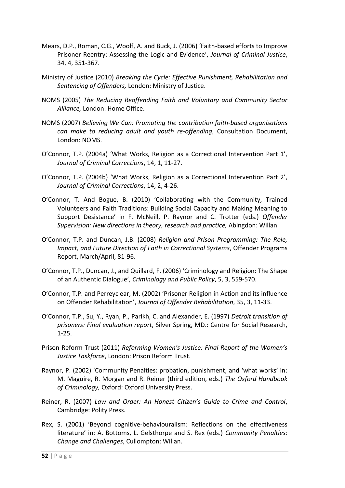- Mears, D.P., Roman, C.G., Woolf, A. and Buck, J. (2006) 'Faith-based efforts to Improve Prisoner Reentry: Assessing the Logic and Evidence', *Journal of Criminal Justice*, 34, 4, 351-367.
- Ministry of Justice (2010) *Breaking the Cycle: Effective Punishment, Rehabilitation and Sentencing of Offenders,* London: Ministry of Justice.
- NOMS (2005) *The Reducing Reoffending Faith and Voluntary and Community Sector Alliance,* London: Home Office.
- NOMS (2007) *Believing We Can: Promoting the contribution faith-based organisations can make to reducing adult and youth re-offending*, Consultation Document, London: NOMS.
- O'Connor, T.P. (2004a) 'What Works, Religion as a Correctional Intervention Part 1', *Journal of Criminal Corrections*, 14, 1, 11-27.
- O'Connor, T.P. (2004b) 'What Works, Religion as a Correctional Intervention Part 2', *Journal of Criminal Corrections*, 14, 2, 4-26.
- O'Connor, T. And Bogue, B. (2010) 'Collaborating with the Community, Trained Volunteers and Faith Traditions: Building Social Capacity and Making Meaning to Support Desistance' in F. McNeill, P. Raynor and C. Trotter (eds.) *Offender Supervision: New directions in theory, research and practice,* Abingdon: Willan.
- O'Connor, T.P. and Duncan, J.B. (2008) *Religion and Prison Programming: The Role, Impact, and Future Direction of Faith in Correctional Systems*, Offender Programs Report, March/April, 81-96.
- O'Connor, T.P., Duncan, J., and Quillard, F. (2006) 'Criminology and Religion: The Shape of an Authentic Dialogue', *Criminology and Public Policy*, 5, 3, 559-570.
- O'Connor, T.P. and Perreyclear, M. (2002) 'Prisoner Religion in Action and its influence on Offender Rehabilitation', *Journal of Offender Rehabilitation*, 35, 3, 11-33.
- O'Connor, T.P., Su, Y., Ryan, P., Parikh, C. and Alexander, E. (1997) *Detroit transition of prisoners: Final evaluation report*, Silver Spring, MD.: Centre for Social Research, 1-25.
- Prison Reform Trust (2011) *Reforming Women's Justice: Final Report of the Women's Justice Taskforce*, London: Prison Reform Trust.
- Raynor, P. (2002) 'Community Penalties: probation, punishment, and 'what works' in: M. Maguire, R. Morgan and R. Reiner (third edition, eds.) *The Oxford Handbook of Criminology,* Oxford: Oxford University Press.
- Reiner, R. (2007) *Law and Order: An Honest Citizen's Guide to Crime and Control*, Cambridge: Polity Press.
- Rex, S. (2001) 'Beyond cognitive-behaviouralism: Reflections on the effectiveness literature' in: A. Bottoms, L. Gelsthorpe and S. Rex (eds.) *Community Penalties: Change and Challenges*, Cullompton: Willan.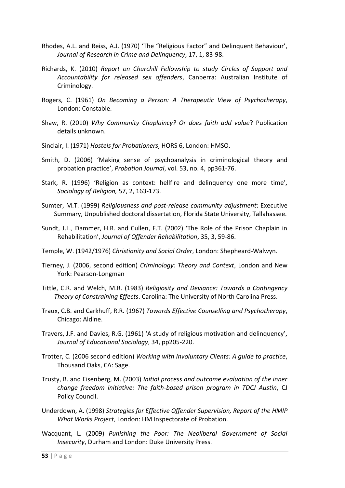- Rhodes, A.L. and Reiss, A.J. (1970) 'The "Religious Factor" and Delinquent Behaviour', *Journal of Research in Crime and Delinquency*, 17, 1, 83-98.
- Richards, K. (2010) *Report on Churchill Fellowship to study Circles of Support and Accountability for released sex offenders*, Canberra: Australian Institute of Criminology.
- Rogers, C. (1961) *On Becoming a Person: A Therapeutic View of Psychotherapy*, London: Constable.
- Shaw, R. (2010) *Why Community Chaplaincy? Or does faith add value*? Publication details unknown.
- Sinclair, I. (1971) *Hostels for Probationers*, HORS 6, London: HMSO.
- Smith, D. (2006) 'Making sense of psychoanalysis in criminological theory and probation practice', *Probation Journal*, vol. 53, no. 4, pp361-76.
- Stark, R. (1996) 'Religion as context: hellfire and delinquency one more time', *Sociology of Religion,* 57, 2, 163-173.
- Sumter, M.T. (1999) *Religiousness and post-release community adjustment*: Executive Summary, Unpublished doctoral dissertation, Florida State University, Tallahassee.
- Sundt, J.L., Dammer, H.R. and Cullen, F.T. (2002) 'The Role of the Prison Chaplain in Rehabilitation', *Journal of Offender Rehabilitation*, 35, 3, 59-86.
- Temple, W. (1942/1976) *Christianity and Social Order*, London: Shepheard-Walwyn.
- Tierney, J. (2006, second edition) *Criminology: Theory and Context*, London and New York: Pearson-Longman
- Tittle, C.R. and Welch, M.R. (1983) *Religiosity and Deviance: Towards a Contingency Theory of Constraining Effects*. Carolina: The University of North Carolina Press.
- Traux, C.B. and Carkhuff, R.R. (1967) *Towards Effective Counselling and Psychotherapy*, Chicago: Aldine.
- Travers, J.F. and Davies, R.G. (1961) 'A study of religious motivation and delinquency', *Journal of Educational Sociology*, 34, pp205-220.
- Trotter, C. (2006 second edition) *Working with Involuntary Clients: A guide to practice*, Thousand Oaks, CA: Sage.
- Trusty, B. and Eisenberg, M. (2003) *Initial process and outcome evaluation of the inner change freedom initiative: The faith-based prison program in TDCJ Austin*, CJ Policy Council.
- Underdown, A. (1998) *Strategies for Effective Offender Supervision, Report of the HMIP What Works Project*, London: HM Inspectorate of Probation.
- Wacquant, L. (2009) *Punishing the Poor: The Neoliberal Government of Social Insecurity*, Durham and London: Duke University Press.